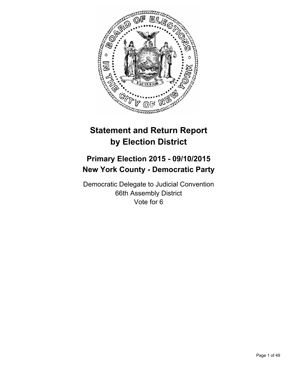

# **Statement and Return Report by Election District**

# **Primary Election 2015 - 09/10/2015 New York County - Democratic Party**

Democratic Delegate to Judicial Convention 66th Assembly District Vote for 6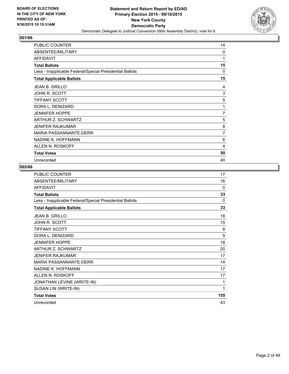

| <b>PUBLIC COUNTER</b>                                    | 14       |
|----------------------------------------------------------|----------|
| ABSENTEE/MILITARY                                        | $\Omega$ |
| <b>AFFIDAVIT</b>                                         | 1        |
| <b>Total Ballots</b>                                     | 15       |
| Less - Inapplicable Federal/Special Presidential Ballots | 0        |
| <b>Total Applicable Ballots</b>                          | 15       |
| <b>JEAN B. GRILLO</b>                                    | 4        |
| JOHN R. SCOTT                                            | 3        |
| <b>TIFFANY SCOTT</b>                                     | 5        |
| DORA L. DENIZARD                                         | 1        |
| <b>JENNIFER HOPPE</b>                                    | 7        |
| ARTHUR Z. SCHWARTZ                                       | 5        |
| <b>JENIFER RAJKUMAR</b>                                  | 8        |
| <b>MARIA PASSANNANTE-DERR</b>                            | 7        |
| NADINE K. HOFFMANN                                       | 6        |
| ALLEN N. ROSKOFF                                         | 4        |
| <b>Total Votes</b>                                       | 50       |
| Unrecorded                                               | 40       |

| <b>PUBLIC COUNTER</b>                                    | 17       |
|----------------------------------------------------------|----------|
| ABSENTEE/MILITARY                                        | 16       |
| <b>AFFIDAVIT</b>                                         | $\Omega$ |
| <b>Total Ballots</b>                                     | 33       |
| Less - Inapplicable Federal/Special Presidential Ballots | 0        |
| <b>Total Applicable Ballots</b>                          | 33       |
| <b>JEAN B. GRILLO</b>                                    | 18       |
| JOHN R. SCOTT                                            | 15       |
| TIFFANY SCOTT                                            | 8        |
| DORA L. DENIZARD                                         | 9        |
| <b>JENNIFER HOPPE</b>                                    | 18       |
| ARTHUR Z. SCHWARTZ                                       | 20       |
| JENIFER RAJKUMAR                                         | 17       |
| <b>MARIA PASSANNANTE-DERR</b>                            | 14       |
| NADINE K. HOFFMANN                                       | 17       |
| ALLEN N. ROSKOFF                                         | 17       |
| JONATHAN LEVINE (WRITE-IN)                               | 1        |
| SUSAN LIN (WRITE-IN)                                     | 1        |
| <b>Total Votes</b>                                       | 155      |
| Unrecorded                                               | 43       |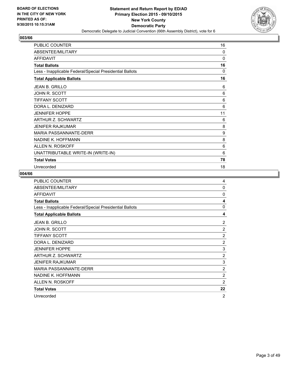

| <b>PUBLIC COUNTER</b>                                    | 16 |
|----------------------------------------------------------|----|
| ABSENTEE/MILITARY                                        | 0  |
| <b>AFFIDAVIT</b>                                         | 0  |
| <b>Total Ballots</b>                                     | 16 |
| Less - Inapplicable Federal/Special Presidential Ballots | 0  |
| <b>Total Applicable Ballots</b>                          | 16 |
| <b>JEAN B. GRILLO</b>                                    | 6  |
| JOHN R. SCOTT                                            | 6  |
| <b>TIFFANY SCOTT</b>                                     | 6  |
| DORA L. DENIZARD                                         | 6  |
| <b>JENNIFER HOPPE</b>                                    | 11 |
| ARTHUR Z. SCHWARTZ                                       | 6  |
| <b>JENIFER RAJKUMAR</b>                                  | 8  |
| <b>MARIA PASSANNANTE-DERR</b>                            | 9  |
| NADINE K. HOFFMANN                                       | 8  |
| ALLEN N. ROSKOFF                                         | 6  |
| UNATTRIBUTABLE WRITE-IN (WRITE-IN)                       | 6  |
| <b>Total Votes</b>                                       | 78 |
| Unrecorded                                               | 18 |

| <b>PUBLIC COUNTER</b>                                    | 4              |
|----------------------------------------------------------|----------------|
| ABSENTEE/MILITARY                                        | $\Omega$       |
| <b>AFFIDAVIT</b>                                         | $\Omega$       |
| <b>Total Ballots</b>                                     | 4              |
| Less - Inapplicable Federal/Special Presidential Ballots | $\Omega$       |
| <b>Total Applicable Ballots</b>                          | 4              |
| <b>JEAN B. GRILLO</b>                                    | 2              |
| JOHN R. SCOTT                                            | $\overline{2}$ |
| <b>TIFFANY SCOTT</b>                                     | $\overline{2}$ |
| DORA L. DENIZARD                                         | $\overline{2}$ |
| <b>JENNIFER HOPPE</b>                                    | 3              |
| ARTHUR Z. SCHWARTZ                                       | 2              |
| <b>JENIFER RAJKUMAR</b>                                  | 3              |
| MARIA PASSANNANTE-DERR                                   | 2              |
| NADINE K. HOFFMANN                                       | 2              |
| ALLEN N. ROSKOFF                                         | $\overline{2}$ |
| <b>Total Votes</b>                                       | 22             |
| Unrecorded                                               | $\overline{2}$ |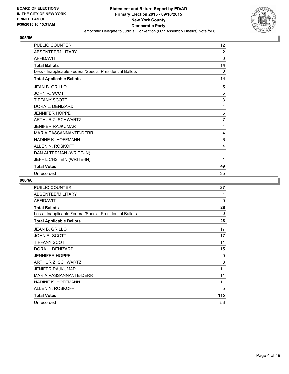

| <b>PUBLIC COUNTER</b>                                    | 12             |
|----------------------------------------------------------|----------------|
| ABSENTEE/MILITARY                                        | 2              |
| <b>AFFIDAVIT</b>                                         | 0              |
| <b>Total Ballots</b>                                     | 14             |
| Less - Inapplicable Federal/Special Presidential Ballots | 0              |
| <b>Total Applicable Ballots</b>                          | 14             |
| <b>JEAN B. GRILLO</b>                                    | 5              |
| JOHN R. SCOTT                                            | 5              |
| <b>TIFFANY SCOTT</b>                                     | 3              |
| DORA L. DENIZARD                                         | 4              |
| <b>JENNIFER HOPPE</b>                                    | 5              |
| ARTHUR Z. SCHWARTZ                                       | $\overline{7}$ |
| <b>JENIFER RAJKUMAR</b>                                  | 4              |
| <b>MARIA PASSANNANTE-DERR</b>                            | 4              |
| NADINE K. HOFFMANN                                       | 6              |
| ALLEN N. ROSKOFF                                         | 4              |
| DAN ALTERMAN (WRITE-IN)                                  | 1              |
| JEFF LICHSTEIN (WRITE-IN)                                | 1              |
| <b>Total Votes</b>                                       | 49             |
| Unrecorded                                               | 35             |

| <b>PUBLIC COUNTER</b>                                    | 27           |
|----------------------------------------------------------|--------------|
| ABSENTEE/MILITARY                                        | 1            |
| <b>AFFIDAVIT</b>                                         | $\mathbf{0}$ |
| <b>Total Ballots</b>                                     | 28           |
| Less - Inapplicable Federal/Special Presidential Ballots | $\Omega$     |
| <b>Total Applicable Ballots</b>                          | 28           |
| JEAN B. GRILLO                                           | 17           |
| JOHN R. SCOTT                                            | 17           |
| <b>TIFFANY SCOTT</b>                                     | 11           |
| DORA L. DENIZARD                                         | 15           |
| <b>JENNIFER HOPPE</b>                                    | 9            |
| ARTHUR Z. SCHWARTZ                                       | 8            |
| <b>JENIFER RAJKUMAR</b>                                  | 11           |
| MARIA PASSANNANTE-DERR                                   | 11           |
| NADINE K. HOFFMANN                                       | 11           |
| ALLEN N. ROSKOFF                                         | 5            |
| <b>Total Votes</b>                                       | 115          |
| Unrecorded                                               | 53           |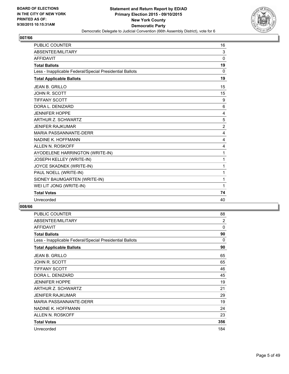

| <b>PUBLIC COUNTER</b>                                    | 16             |
|----------------------------------------------------------|----------------|
| ABSENTEE/MILITARY                                        | 3              |
| <b>AFFIDAVIT</b>                                         | $\mathbf{0}$   |
| <b>Total Ballots</b>                                     | 19             |
| Less - Inapplicable Federal/Special Presidential Ballots | 0              |
| <b>Total Applicable Ballots</b>                          | 19             |
| <b>JEAN B. GRILLO</b>                                    | 15             |
| <b>JOHN R. SCOTT</b>                                     | 15             |
| <b>TIFFANY SCOTT</b>                                     | 9              |
| DORA L. DENIZARD                                         | 6              |
| <b>JENNIFER HOPPE</b>                                    | 4              |
| <b>ARTHUR Z. SCHWARTZ</b>                                | 5              |
| <b>JENIFER RAJKUMAR</b>                                  | $\overline{2}$ |
| <b>MARIA PASSANNANTE-DERR</b>                            | 4              |
| NADINE K. HOFFMANN                                       | 4              |
| ALLEN N. ROSKOFF                                         | 4              |
| AYODELENE HARRINGTON (WRITE-IN)                          | 1              |
| JOSEPH KELLEY (WRITE-IN)                                 | 1              |
| JOYCE SKADNEK (WRITE-IN)                                 | 1              |
| PAUL NOELL (WRITE-IN)                                    | 1              |
| SIDNEY BAUMGARTEN (WRITE-IN)                             | 1              |
| WEI LIT JONG (WRITE-IN)                                  | 1              |
| <b>Total Votes</b>                                       | 74             |
| Unrecorded                                               | 40             |

| PUBLIC COUNTER                                           | 88       |
|----------------------------------------------------------|----------|
| ABSENTEE/MILITARY                                        | 2        |
| <b>AFFIDAVIT</b>                                         | 0        |
| <b>Total Ballots</b>                                     | 90       |
| Less - Inapplicable Federal/Special Presidential Ballots | $\Omega$ |
| <b>Total Applicable Ballots</b>                          | 90       |
| <b>JEAN B. GRILLO</b>                                    | 65       |
| JOHN R. SCOTT                                            | 65       |
| TIFFANY SCOTT                                            | 46       |
| DORA L. DENIZARD                                         | 45       |
| <b>JENNIFER HOPPE</b>                                    | 19       |
| ARTHUR Z. SCHWARTZ                                       | 21       |
| JENIFER RAJKUMAR                                         | 29       |
| MARIA PASSANNANTE-DERR                                   | 19       |
| NADINE K. HOFFMANN                                       | 24       |
| <b>ALLEN N. ROSKOFF</b>                                  | 23       |
| <b>Total Votes</b>                                       | 356      |
| Unrecorded                                               | 184      |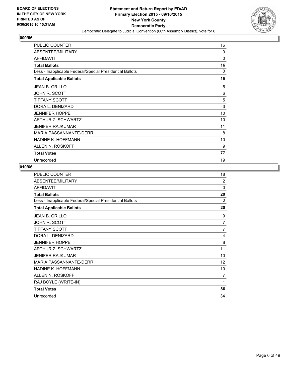

| <b>PUBLIC COUNTER</b>                                    | 16 |
|----------------------------------------------------------|----|
| ABSENTEE/MILITARY                                        | 0  |
| <b>AFFIDAVIT</b>                                         | 0  |
| <b>Total Ballots</b>                                     | 16 |
| Less - Inapplicable Federal/Special Presidential Ballots | 0  |
| <b>Total Applicable Ballots</b>                          | 16 |
| <b>JEAN B. GRILLO</b>                                    | 5  |
| JOHN R. SCOTT                                            | 6  |
| <b>TIFFANY SCOTT</b>                                     | 5  |
| DORA L. DENIZARD                                         | 3  |
| <b>JENNIFER HOPPE</b>                                    | 10 |
| ARTHUR Z. SCHWARTZ                                       | 10 |
| <b>JENIFER RAJKUMAR</b>                                  | 11 |
| <b>MARIA PASSANNANTE-DERR</b>                            | 8  |
| NADINE K. HOFFMANN                                       | 10 |
| ALLEN N. ROSKOFF                                         | 9  |
| <b>Total Votes</b>                                       | 77 |
| Unrecorded                                               | 19 |

| <b>PUBLIC COUNTER</b>                                    | 18             |
|----------------------------------------------------------|----------------|
| ABSENTEE/MILITARY                                        | $\overline{2}$ |
| <b>AFFIDAVIT</b>                                         | $\Omega$       |
| <b>Total Ballots</b>                                     | 20             |
| Less - Inapplicable Federal/Special Presidential Ballots | $\Omega$       |
| <b>Total Applicable Ballots</b>                          | 20             |
| <b>JEAN B. GRILLO</b>                                    | 9              |
| JOHN R. SCOTT                                            | 7              |
| <b>TIFFANY SCOTT</b>                                     | $\overline{7}$ |
| DORA L. DENIZARD                                         | 4              |
| <b>JENNIFER HOPPE</b>                                    | 8              |
| ARTHUR Z. SCHWARTZ                                       | 11             |
| <b>JENIFER RAJKUMAR</b>                                  | 10             |
| <b>MARIA PASSANNANTE-DERR</b>                            | 12             |
| NADINE K. HOFFMANN                                       | 10             |
| ALLEN N. ROSKOFF                                         | $\overline{7}$ |
| RAJ BOYLE (WRITE-IN)                                     | 1              |
| <b>Total Votes</b>                                       | 86             |
| Unrecorded                                               | 34             |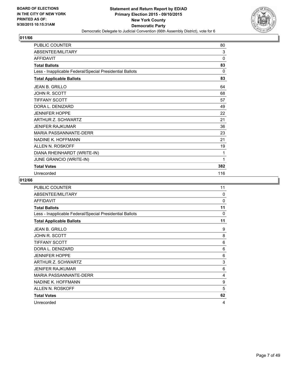

| <b>PUBLIC COUNTER</b>                                    | 80  |
|----------------------------------------------------------|-----|
| ABSENTEE/MILITARY                                        | 3   |
| <b>AFFIDAVIT</b>                                         | 0   |
| <b>Total Ballots</b>                                     | 83  |
| Less - Inapplicable Federal/Special Presidential Ballots | 0   |
| <b>Total Applicable Ballots</b>                          | 83  |
| <b>JEAN B. GRILLO</b>                                    | 64  |
| JOHN R. SCOTT                                            | 68  |
| <b>TIFFANY SCOTT</b>                                     | 57  |
| DORA L. DENIZARD                                         | 49  |
| <b>JENNIFER HOPPE</b>                                    | 22  |
| ARTHUR Z. SCHWARTZ                                       | 21  |
| <b>JENIFER RAJKUMAR</b>                                  | 36  |
| <b>MARIA PASSANNANTE-DERR</b>                            | 23  |
| NADINE K. HOFFMANN                                       | 21  |
| ALLEN N. ROSKOFF                                         | 19  |
| DIANA RHEINHARDT (WRITE-IN)                              | 1   |
| JUNE GRANCIO (WRITE-IN)                                  | 1   |
| <b>Total Votes</b>                                       | 382 |
| Unrecorded                                               | 116 |

| <b>PUBLIC COUNTER</b>                                    | 11           |
|----------------------------------------------------------|--------------|
| ABSENTEE/MILITARY                                        | $\mathbf{0}$ |
| <b>AFFIDAVIT</b>                                         | 0            |
| <b>Total Ballots</b>                                     | 11           |
| Less - Inapplicable Federal/Special Presidential Ballots | $\Omega$     |
| <b>Total Applicable Ballots</b>                          | 11           |
| JEAN B. GRILLO                                           | 9            |
| JOHN R. SCOTT                                            | 8            |
| <b>TIFFANY SCOTT</b>                                     | 6            |
| DORA L. DENIZARD                                         | 6            |
| <b>JENNIFER HOPPE</b>                                    | 6            |
| ARTHUR Z. SCHWARTZ                                       | 3            |
| <b>JENIFER RAJKUMAR</b>                                  | 6            |
| MARIA PASSANNANTE-DERR                                   | 4            |
| NADINE K. HOFFMANN                                       | 9            |
| ALLEN N. ROSKOFF                                         | 5            |
| <b>Total Votes</b>                                       | 62           |
| Unrecorded                                               | 4            |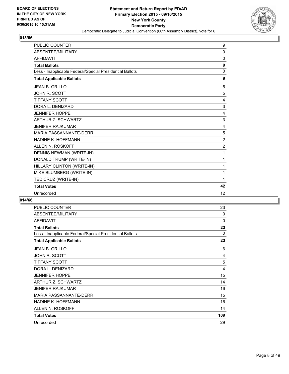

| <b>PUBLIC COUNTER</b>                                    | 9              |
|----------------------------------------------------------|----------------|
| ABSENTEE/MILITARY                                        | 0              |
| <b>AFFIDAVIT</b>                                         | $\mathbf 0$    |
| <b>Total Ballots</b>                                     | 9              |
| Less - Inapplicable Federal/Special Presidential Ballots | $\mathbf 0$    |
| <b>Total Applicable Ballots</b>                          | 9              |
| <b>JEAN B. GRILLO</b>                                    | 5              |
| <b>JOHN R. SCOTT</b>                                     | 5              |
| <b>TIFFANY SCOTT</b>                                     | 4              |
| DORA L. DENIZARD                                         | 3              |
| <b>JENNIFER HOPPE</b>                                    | 4              |
| <b>ARTHUR Z. SCHWARTZ</b>                                | 3              |
| <b>JENIFER RAJKUMAR</b>                                  | 4              |
| <b>MARIA PASSANNANTE-DERR</b>                            | 5              |
| NADINE K. HOFFMANN                                       | $\overline{2}$ |
| ALLEN N. ROSKOFF                                         | $\overline{2}$ |
| DENNIS NEWMAN (WRITE-IN)                                 | 1              |
| DONALD TRUMP (WRITE-IN)                                  | 1              |
| HILLARY CLINTON (WRITE-IN)                               | 1              |
| MIKE BLUMBERG (WRITE-IN)                                 | 1              |
| TED CRUZ (WRITE-IN)                                      | 1              |
| <b>Total Votes</b>                                       | 42             |
| Unrecorded                                               | 12             |

| PUBLIC COUNTER                                           | 23  |
|----------------------------------------------------------|-----|
| <b>ABSENTEE/MILITARY</b>                                 | 0   |
| <b>AFFIDAVIT</b>                                         | 0   |
| <b>Total Ballots</b>                                     | 23  |
| Less - Inapplicable Federal/Special Presidential Ballots | 0   |
| <b>Total Applicable Ballots</b>                          | 23  |
| <b>JEAN B. GRILLO</b>                                    | 6   |
| JOHN R. SCOTT                                            | 4   |
| <b>TIFFANY SCOTT</b>                                     | 5   |
| DORA L. DENIZARD                                         | 4   |
| <b>JENNIFER HOPPE</b>                                    | 15  |
| ARTHUR Z. SCHWARTZ                                       | 14  |
| <b>JENIFER RAJKUMAR</b>                                  | 16  |
| <b>MARIA PASSANNANTE-DERR</b>                            | 15  |
| NADINE K. HOFFMANN                                       | 16  |
| ALLEN N. ROSKOFF                                         | 14  |
| <b>Total Votes</b>                                       | 109 |
| Unrecorded                                               | 29  |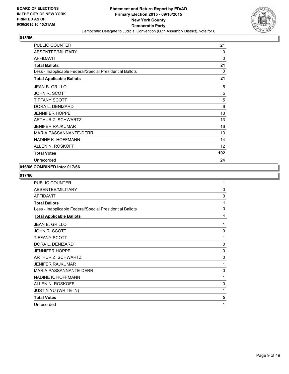

| <b>PUBLIC COUNTER</b>                                    | 21       |
|----------------------------------------------------------|----------|
| ABSENTEE/MILITARY                                        | 0        |
| <b>AFFIDAVIT</b>                                         | $\Omega$ |
| <b>Total Ballots</b>                                     | 21       |
| Less - Inapplicable Federal/Special Presidential Ballots | 0        |
| <b>Total Applicable Ballots</b>                          | 21       |
| <b>JEAN B. GRILLO</b>                                    | 5        |
| JOHN R. SCOTT                                            | 5        |
| <b>TIFFANY SCOTT</b>                                     | 5        |
| DORA L. DENIZARD                                         | 6        |
| <b>JENNIFER HOPPE</b>                                    | 13       |
| <b>ARTHUR Z. SCHWARTZ</b>                                | 13       |
| <b>JENIFER RAJKUMAR</b>                                  | 16       |
| <b>MARIA PASSANNANTE-DERR</b>                            | 13       |
| NADINE K. HOFFMANN                                       | 14       |
| ALLEN N. ROSKOFF                                         | 12       |
| <b>Total Votes</b>                                       | 102      |
| Unrecorded                                               | 24       |

## **016/66 COMBINED into: 017/66**

| 1            |
|--------------|
|              |
| 0            |
| 0            |
| 1            |
| 0            |
| 1            |
| 1            |
| 0            |
| $\mathbf{1}$ |
| $\mathbf{0}$ |
| 0            |
| 0            |
| 1            |
| 0            |
| 1            |
| 0            |
| 1            |
| 5            |
| 1            |
|              |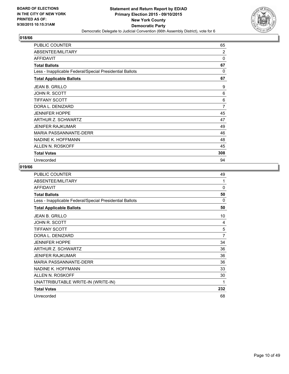

| <b>PUBLIC COUNTER</b>                                    | 65           |
|----------------------------------------------------------|--------------|
| ABSENTEE/MILITARY                                        | 2            |
| <b>AFFIDAVIT</b>                                         | $\mathbf{0}$ |
| <b>Total Ballots</b>                                     | 67           |
| Less - Inapplicable Federal/Special Presidential Ballots | 0            |
| <b>Total Applicable Ballots</b>                          | 67           |
| <b>JEAN B. GRILLO</b>                                    | 9            |
| JOHN R. SCOTT                                            | 6            |
| <b>TIFFANY SCOTT</b>                                     | 6            |
| DORA L. DENIZARD                                         | 7            |
| <b>JENNIFER HOPPE</b>                                    | 45           |
| ARTHUR Z. SCHWARTZ                                       | 47           |
| <b>JENIFER RAJKUMAR</b>                                  | 49           |
| <b>MARIA PASSANNANTE-DERR</b>                            | 46           |
| NADINE K. HOFFMANN                                       | 48           |
| ALLEN N. ROSKOFF                                         | 45           |
| <b>Total Votes</b>                                       | 308          |
| Unrecorded                                               | 94           |

| PUBLIC COUNTER                                           | 49             |
|----------------------------------------------------------|----------------|
| ABSENTEE/MILITARY                                        | 1              |
| <b>AFFIDAVIT</b>                                         | 0              |
| <b>Total Ballots</b>                                     | 50             |
| Less - Inapplicable Federal/Special Presidential Ballots | $\Omega$       |
| <b>Total Applicable Ballots</b>                          | 50             |
| JEAN B. GRILLO                                           | 10             |
| JOHN R. SCOTT                                            | 4              |
| <b>TIFFANY SCOTT</b>                                     | 5              |
| DORA L. DENIZARD                                         | $\overline{7}$ |
| <b>JENNIFER HOPPE</b>                                    | 34             |
| ARTHUR Z. SCHWARTZ                                       | 36             |
| JENIFER RAJKUMAR                                         | 36             |
| <b>MARIA PASSANNANTE-DERR</b>                            | 36             |
| NADINE K. HOFFMANN                                       | 33             |
| ALLEN N. ROSKOFF                                         | 30             |
| UNATTRIBUTABLE WRITE-IN (WRITE-IN)                       | 1              |
| <b>Total Votes</b>                                       | 232            |
| Unrecorded                                               | 68             |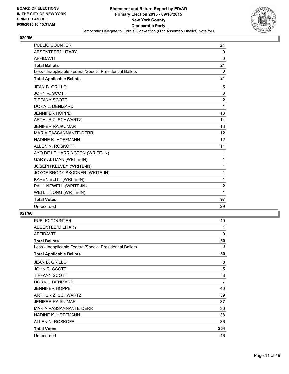

| <b>PUBLIC COUNTER</b>                                    | 21             |
|----------------------------------------------------------|----------------|
| ABSENTEE/MILITARY                                        | $\mathbf{0}$   |
| <b>AFFIDAVIT</b>                                         | $\Omega$       |
| <b>Total Ballots</b>                                     | 21             |
| Less - Inapplicable Federal/Special Presidential Ballots | $\Omega$       |
| <b>Total Applicable Ballots</b>                          | 21             |
| <b>JEAN B. GRILLO</b>                                    | 5              |
| <b>JOHN R. SCOTT</b>                                     | 6              |
| <b>TIFFANY SCOTT</b>                                     | $\overline{2}$ |
| DORA L. DENIZARD                                         | 1              |
| <b>JENNIFER HOPPE</b>                                    | 13             |
| ARTHUR Z. SCHWARTZ                                       | 14             |
| <b>JENIFER RAJKUMAR</b>                                  | 13             |
| <b>MARIA PASSANNANTE-DERR</b>                            | 12             |
| NADINE K. HOFFMANN                                       | 12             |
| ALLEN N. ROSKOFF                                         | 11             |
| AYO DE LE HARRINGTON (WRITE-IN)                          | 1              |
| <b>GARY ALTMAN (WRITE-IN)</b>                            | 1              |
| JOSEPH KELVEY (WRITE-IN)                                 | 1              |
| JOYCE BRODY SKODNER (WRITE-IN)                           | 1              |
| KAREN BLITT (WRITE-IN)                                   | 1              |
| PAUL NEWELL (WRITE-IN)                                   | $\overline{2}$ |
| WEI LI TJONG (WRITE-IN)                                  | 1              |
| <b>Total Votes</b>                                       | 97             |
| Unrecorded                                               | 29             |

| <b>PUBLIC COUNTER</b>                                    | 49  |
|----------------------------------------------------------|-----|
| ABSENTEE/MILITARY                                        | 1   |
| <b>AFFIDAVIT</b>                                         | 0   |
| <b>Total Ballots</b>                                     | 50  |
| Less - Inapplicable Federal/Special Presidential Ballots | 0   |
| <b>Total Applicable Ballots</b>                          | 50  |
| <b>JEAN B. GRILLO</b>                                    | 8   |
| JOHN R. SCOTT                                            | 5   |
| <b>TIFFANY SCOTT</b>                                     | 8   |
| DORA L. DENIZARD                                         | 7   |
| <b>JENNIFER HOPPE</b>                                    | 40  |
| ARTHUR Z. SCHWARTZ                                       | 39  |
| <b>JENIFER RAJKUMAR</b>                                  | 37  |
| MARIA PASSANNANTE-DERR                                   | 36  |
| NADINE K. HOFFMANN                                       | 38  |
| ALLEN N. ROSKOFF                                         | 36  |
| <b>Total Votes</b>                                       | 254 |
| Unrecorded                                               | 46  |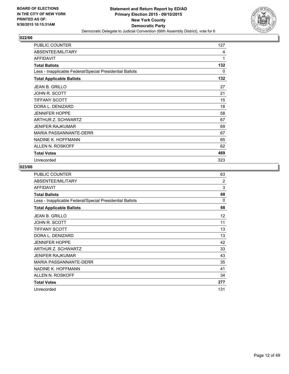

| <b>PUBLIC COUNTER</b>                                    | 127 |
|----------------------------------------------------------|-----|
| ABSENTEE/MILITARY                                        | 4   |
| <b>AFFIDAVIT</b>                                         | 1   |
| <b>Total Ballots</b>                                     | 132 |
| Less - Inapplicable Federal/Special Presidential Ballots | 0   |
| <b>Total Applicable Ballots</b>                          | 132 |
| <b>JEAN B. GRILLO</b>                                    | 27  |
| JOHN R. SCOTT                                            | 21  |
| <b>TIFFANY SCOTT</b>                                     | 15  |
| DORA L. DENIZARD                                         | 18  |
| <b>JENNIFER HOPPE</b>                                    | 58  |
| ARTHUR Z. SCHWARTZ                                       | 67  |
| <b>JENIFER RAJKUMAR</b>                                  | 69  |
| MARIA PASSANNANTE-DERR                                   | 67  |
| NADINE K. HOFFMANN                                       | 65  |
| ALLEN N. ROSKOFF                                         | 62  |
| <b>Total Votes</b>                                       | 469 |
| Unrecorded                                               | 323 |

| PUBLIC COUNTER                                           | 63  |
|----------------------------------------------------------|-----|
| ABSENTEE/MILITARY                                        | 2   |
| <b>AFFIDAVIT</b>                                         | 3   |
| <b>Total Ballots</b>                                     | 68  |
| Less - Inapplicable Federal/Special Presidential Ballots | 0   |
| <b>Total Applicable Ballots</b>                          | 68  |
| <b>JEAN B. GRILLO</b>                                    | 12  |
| <b>JOHN R. SCOTT</b>                                     | 11  |
| TIFFANY SCOTT                                            | 13  |
| DORA L. DENIZARD                                         | 13  |
| <b>JENNIFER HOPPE</b>                                    | 42  |
| ARTHUR Z. SCHWARTZ                                       | 33  |
| <b>JENIFER RAJKUMAR</b>                                  | 43  |
| <b>MARIA PASSANNANTE-DERR</b>                            | 35  |
| NADINE K. HOFFMANN                                       | 41  |
| ALLEN N. ROSKOFF                                         | 34  |
| <b>Total Votes</b>                                       | 277 |
| Unrecorded                                               | 131 |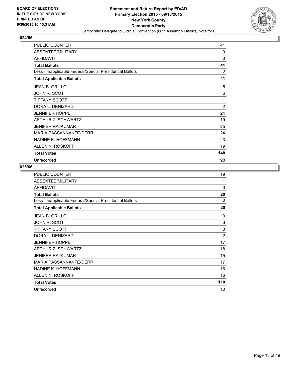

| <b>PUBLIC COUNTER</b>                                    | 41             |
|----------------------------------------------------------|----------------|
| ABSENTEE/MILITARY                                        | 0              |
| <b>AFFIDAVIT</b>                                         | $\Omega$       |
| <b>Total Ballots</b>                                     | 41             |
| Less - Inapplicable Federal/Special Presidential Ballots | 0              |
| <b>Total Applicable Ballots</b>                          | 41             |
| <b>JEAN B. GRILLO</b>                                    | 5              |
| JOHN R. SCOTT                                            | 6              |
| <b>TIFFANY SCOTT</b>                                     | 1              |
| DORA L. DENIZARD                                         | $\overline{2}$ |
| <b>JENNIFER HOPPE</b>                                    | 24             |
| ARTHUR Z. SCHWARTZ                                       | 19             |
| <b>JENIFER RAJKUMAR</b>                                  | 25             |
| <b>MARIA PASSANNANTE-DERR</b>                            | 24             |
| NADINE K. HOFFMANN                                       | 23             |
| ALLEN N. ROSKOFF                                         | 19             |
| <b>Total Votes</b>                                       | 148            |
| Unrecorded                                               | 98             |

| PUBLIC COUNTER                                           | 19             |
|----------------------------------------------------------|----------------|
| ABSENTEE/MILITARY                                        | 1              |
| <b>AFFIDAVIT</b>                                         | $\Omega$       |
| <b>Total Ballots</b>                                     | 20             |
| Less - Inapplicable Federal/Special Presidential Ballots | $\Omega$       |
| <b>Total Applicable Ballots</b>                          | 20             |
| <b>JEAN B. GRILLO</b>                                    | 3              |
| JOHN R. SCOTT                                            | 3              |
| <b>TIFFANY SCOTT</b>                                     | 3              |
| DORA L. DENIZARD                                         | $\overline{2}$ |
| <b>JENNIFER HOPPE</b>                                    | 17             |
| ARTHUR Z. SCHWARTZ                                       | 18             |
| <b>JENIFER RAJKUMAR</b>                                  | 15             |
| MARIA PASSANNANTE-DERR                                   | 17             |
| NADINE K. HOFFMANN                                       | 16             |
| ALLEN N. ROSKOFF                                         | 16             |
| <b>Total Votes</b>                                       | 110            |
| Unrecorded                                               | 10             |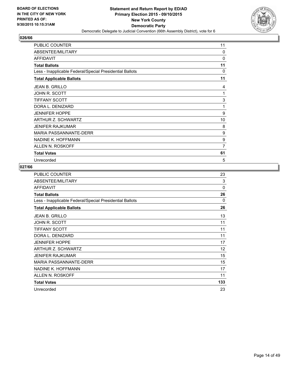

| <b>PUBLIC COUNTER</b>                                    | 11       |
|----------------------------------------------------------|----------|
| ABSENTEE/MILITARY                                        | $\Omega$ |
| <b>AFFIDAVIT</b>                                         | 0        |
| <b>Total Ballots</b>                                     | 11       |
| Less - Inapplicable Federal/Special Presidential Ballots | $\Omega$ |
| <b>Total Applicable Ballots</b>                          | 11       |
| <b>JEAN B. GRILLO</b>                                    | 4        |
| JOHN R. SCOTT                                            | 1        |
| <b>TIFFANY SCOTT</b>                                     | 3        |
| DORA L. DENIZARD                                         | 1        |
| <b>JENNIFER HOPPE</b>                                    | 9        |
| ARTHUR Z. SCHWARTZ                                       | 10       |
| <b>JENIFER RAJKUMAR</b>                                  | 8        |
| MARIA PASSANNANTE-DERR                                   | 9        |
| NADINE K. HOFFMANN                                       | 9        |
| ALLEN N. ROSKOFF                                         | 7        |
| <b>Total Votes</b>                                       | 61       |
| Unrecorded                                               | 5        |

| PUBLIC COUNTER                                           | 23           |
|----------------------------------------------------------|--------------|
| ABSENTEE/MILITARY                                        | 3            |
| <b>AFFIDAVIT</b>                                         | $\Omega$     |
| <b>Total Ballots</b>                                     | 26           |
| Less - Inapplicable Federal/Special Presidential Ballots | $\mathbf{0}$ |
| <b>Total Applicable Ballots</b>                          | 26           |
| <b>JEAN B. GRILLO</b>                                    | 13           |
| JOHN R. SCOTT                                            | 11           |
| <b>TIFFANY SCOTT</b>                                     | 11           |
| DORA L. DENIZARD                                         | 11           |
| <b>JENNIFER HOPPE</b>                                    | 17           |
| ARTHUR Z. SCHWARTZ                                       | 12           |
| <b>JENIFER RAJKUMAR</b>                                  | 15           |
| MARIA PASSANNANTE-DERR                                   | 15           |
| NADINE K. HOFFMANN                                       | 17           |
| ALLEN N. ROSKOFF                                         | 11           |
| <b>Total Votes</b>                                       | 133          |
| Unrecorded                                               | 23           |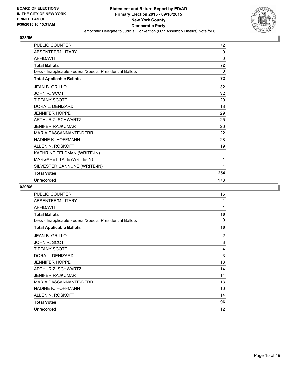

| PUBLIC COUNTER                                           | 72  |
|----------------------------------------------------------|-----|
| <b>ABSENTEE/MILITARY</b>                                 | 0   |
| <b>AFFIDAVIT</b>                                         | 0   |
| <b>Total Ballots</b>                                     | 72  |
| Less - Inapplicable Federal/Special Presidential Ballots | 0   |
| <b>Total Applicable Ballots</b>                          | 72  |
| <b>JEAN B. GRILLO</b>                                    | 32  |
| JOHN R. SCOTT                                            | 32  |
| <b>TIFFANY SCOTT</b>                                     | 20  |
| DORA L. DENIZARD                                         | 18  |
| <b>JENNIFER HOPPE</b>                                    | 29  |
| <b>ARTHUR Z. SCHWARTZ</b>                                | 25  |
| JENIFER RAJKUMAR                                         | 26  |
| <b>MARIA PASSANNANTE-DERR</b>                            | 22  |
| NADINE K. HOFFMANN                                       | 28  |
| ALLEN N. ROSKOFF                                         | 19  |
| KATHRINE FELDMAN (WRITE-IN)                              | 1   |
| MARGARET TATE (WRITE-IN)                                 | 1   |
| SILVESTER CANNONE (WRITE-IN)                             | 1   |
| <b>Total Votes</b>                                       | 254 |
| Unrecorded                                               | 178 |

| <b>PUBLIC COUNTER</b>                                    | 16 |
|----------------------------------------------------------|----|
| ABSENTEE/MILITARY                                        | 1  |
| <b>AFFIDAVIT</b>                                         | 1  |
| <b>Total Ballots</b>                                     | 18 |
| Less - Inapplicable Federal/Special Presidential Ballots | 0  |
| <b>Total Applicable Ballots</b>                          | 18 |
| <b>JEAN B. GRILLO</b>                                    | 2  |
| JOHN R. SCOTT                                            | 3  |
| <b>TIFFANY SCOTT</b>                                     | 4  |
| DORA L. DENIZARD                                         | 3  |
| <b>JENNIFER HOPPE</b>                                    | 13 |
| ARTHUR Z. SCHWARTZ                                       | 14 |
| <b>JENIFER RAJKUMAR</b>                                  | 14 |
| <b>MARIA PASSANNANTE-DERR</b>                            | 13 |
| NADINE K. HOFFMANN                                       | 16 |
| ALLEN N. ROSKOFF                                         | 14 |
| <b>Total Votes</b>                                       | 96 |
| Unrecorded                                               | 12 |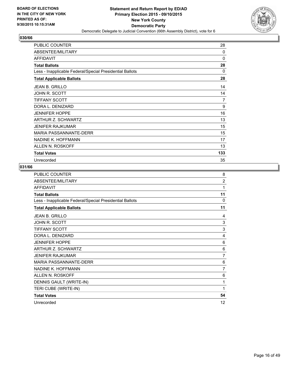

| <b>PUBLIC COUNTER</b>                                    | 28  |
|----------------------------------------------------------|-----|
| ABSENTEE/MILITARY                                        | 0   |
| <b>AFFIDAVIT</b>                                         | 0   |
| <b>Total Ballots</b>                                     | 28  |
| Less - Inapplicable Federal/Special Presidential Ballots | 0   |
| <b>Total Applicable Ballots</b>                          | 28  |
| <b>JEAN B. GRILLO</b>                                    | 14  |
| JOHN R. SCOTT                                            | 14  |
| <b>TIFFANY SCOTT</b>                                     | 7   |
| DORA L. DENIZARD                                         | 9   |
| <b>JENNIFER HOPPE</b>                                    | 16  |
| ARTHUR Z. SCHWARTZ                                       | 13  |
| <b>JENIFER RAJKUMAR</b>                                  | 15  |
| <b>MARIA PASSANNANTE-DERR</b>                            | 15  |
| NADINE K. HOFFMANN                                       | 17  |
| ALLEN N. ROSKOFF                                         | 13  |
| <b>Total Votes</b>                                       | 133 |
| Unrecorded                                               | 35  |

| <b>PUBLIC COUNTER</b>                                    | 8              |
|----------------------------------------------------------|----------------|
| ABSENTEE/MILITARY                                        | $\overline{2}$ |
| <b>AFFIDAVIT</b>                                         | 1              |
| <b>Total Ballots</b>                                     | 11             |
| Less - Inapplicable Federal/Special Presidential Ballots | $\Omega$       |
| <b>Total Applicable Ballots</b>                          | 11             |
| JEAN B. GRILLO                                           | 4              |
| JOHN R. SCOTT                                            | 3              |
| <b>TIFFANY SCOTT</b>                                     | 3              |
| DORA L. DENIZARD                                         | 4              |
| <b>JENNIFER HOPPE</b>                                    | 6              |
| ARTHUR Z. SCHWARTZ                                       | 6              |
| <b>JENIFER RAJKUMAR</b>                                  | 7              |
| MARIA PASSANNANTF-DERR                                   | 6              |
| NADINE K. HOFFMANN                                       | 7              |
| ALLEN N. ROSKOFF                                         | 6              |
| DENNIS GAULT (WRITE-IN)                                  | 1              |
| TERI CUBE (WRITE-IN)                                     | 1              |
| <b>Total Votes</b>                                       | 54             |
| Unrecorded                                               | 12             |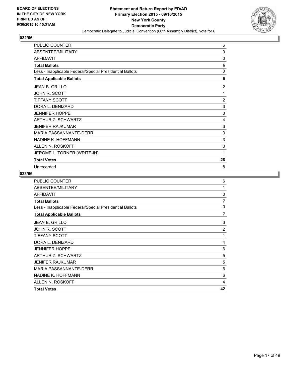

| <b>PUBLIC COUNTER</b>                                    | 6              |
|----------------------------------------------------------|----------------|
| ABSENTEE/MILITARY                                        | 0              |
| <b>AFFIDAVIT</b>                                         | 0              |
| <b>Total Ballots</b>                                     | 6              |
| Less - Inapplicable Federal/Special Presidential Ballots | 0              |
| <b>Total Applicable Ballots</b>                          | 6              |
| <b>JEAN B. GRILLO</b>                                    | 2              |
| JOHN R. SCOTT                                            | 1              |
| <b>TIFFANY SCOTT</b>                                     | $\overline{2}$ |
| DORA L. DENIZARD                                         | 3              |
| <b>JENNIFER HOPPE</b>                                    | 3              |
| ARTHUR Z. SCHWARTZ                                       | 4              |
| <b>JENIFER RAJKUMAR</b>                                  | 3              |
| MARIA PASSANNANTE-DERR                                   | 3              |
| NADINE K. HOFFMANN                                       | 3              |
| ALLEN N. ROSKOFF                                         | 3              |
| JEROME L. TORNER (WRITE-IN)                              | 1              |
| <b>Total Votes</b>                                       | 28             |
| Unrecorded                                               | 8              |

| PUBLIC COUNTER                                           | 6              |
|----------------------------------------------------------|----------------|
| ABSENTEE/MILITARY                                        | 1              |
| <b>AFFIDAVIT</b>                                         | 0              |
| <b>Total Ballots</b>                                     | $\overline{7}$ |
| Less - Inapplicable Federal/Special Presidential Ballots | 0              |
| <b>Total Applicable Ballots</b>                          | $\overline{7}$ |
| <b>JEAN B. GRILLO</b>                                    | 3              |
| JOHN R. SCOTT                                            | $\overline{2}$ |
| <b>TIFFANY SCOTT</b>                                     | 1              |
| DORA L. DENIZARD                                         | 4              |
| <b>JENNIFER HOPPE</b>                                    | 6              |
| ARTHUR Z. SCHWARTZ                                       | 5              |
| <b>JENIFER RAJKUMAR</b>                                  | 5              |
| <b>MARIA PASSANNANTE-DERR</b>                            | 6              |
| NADINE K. HOFFMANN                                       | 6              |
| ALLEN N. ROSKOFF                                         | 4              |
| <b>Total Votes</b>                                       | 42             |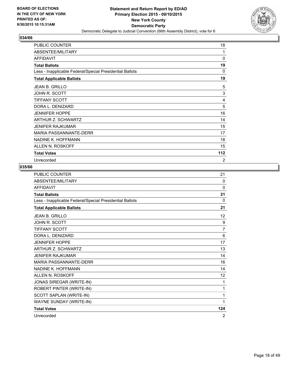

| <b>PUBLIC COUNTER</b>                                    | 18  |
|----------------------------------------------------------|-----|
| ABSENTEE/MILITARY                                        | 1   |
| <b>AFFIDAVIT</b>                                         | 0   |
| <b>Total Ballots</b>                                     | 19  |
| Less - Inapplicable Federal/Special Presidential Ballots | 0   |
| <b>Total Applicable Ballots</b>                          | 19  |
| <b>JEAN B. GRILLO</b>                                    | 5   |
| JOHN R. SCOTT                                            | 3   |
| <b>TIFFANY SCOTT</b>                                     | 4   |
| DORA L. DENIZARD                                         | 5   |
| <b>JENNIFER HOPPE</b>                                    | 16  |
| ARTHUR Z. SCHWARTZ                                       | 14  |
| <b>JENIFER RAJKUMAR</b>                                  | 15  |
| <b>MARIA PASSANNANTE-DERR</b>                            | 17  |
| NADINE K. HOFFMANN                                       | 18  |
| ALLEN N. ROSKOFF                                         | 15  |
| <b>Total Votes</b>                                       | 112 |
| Unrecorded                                               | 2   |

| <b>PUBLIC COUNTER</b>                                    | 21             |
|----------------------------------------------------------|----------------|
| ABSENTEE/MILITARY                                        | $\Omega$       |
| <b>AFFIDAVIT</b>                                         | $\mathbf{0}$   |
| <b>Total Ballots</b>                                     | 21             |
| Less - Inapplicable Federal/Special Presidential Ballots | 0              |
| <b>Total Applicable Ballots</b>                          | 21             |
| <b>JEAN B. GRILLO</b>                                    | 12             |
| <b>JOHN R. SCOTT</b>                                     | 9              |
| <b>TIFFANY SCOTT</b>                                     | $\overline{7}$ |
| DORA L. DENIZARD                                         | 6              |
| <b>JENNIFER HOPPE</b>                                    | 17             |
| ARTHUR Z. SCHWARTZ                                       | 13             |
| <b>JENIFER RAJKUMAR</b>                                  | 14             |
| <b>MARIA PASSANNANTE-DERR</b>                            | 16             |
| NADINE K. HOFFMANN                                       | 14             |
| ALLEN N. ROSKOFF                                         | 12             |
| JONAS SIREGAR (WRITE-IN)                                 | 1              |
| ROBERT PINTER (WRITE-IN)                                 | 1              |
| SCOTT SAPLAN (WRITE-IN)                                  | 1              |
| WAYNE SUNDAY (WRITE-IN)                                  | 1              |
| <b>Total Votes</b>                                       | 124            |
| Unrecorded                                               | $\overline{2}$ |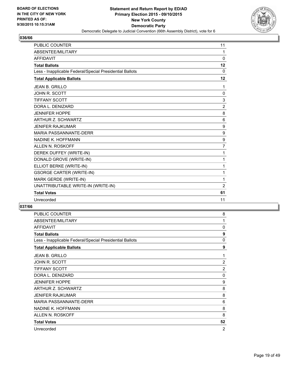

| <b>PUBLIC COUNTER</b>                                    | 11             |
|----------------------------------------------------------|----------------|
| ABSENTEE/MILITARY                                        | 1              |
| <b>AFFIDAVIT</b>                                         | $\mathbf{0}$   |
| <b>Total Ballots</b>                                     | 12             |
| Less - Inapplicable Federal/Special Presidential Ballots | $\mathbf{0}$   |
| <b>Total Applicable Ballots</b>                          | 12             |
| <b>JEAN B. GRILLO</b>                                    | 1              |
| <b>JOHN R. SCOTT</b>                                     | 0              |
| <b>TIFFANY SCOTT</b>                                     | 3              |
| DORA L. DENIZARD                                         | $\overline{2}$ |
| <b>JENNIFER HOPPE</b>                                    | 8              |
| ARTHUR Z. SCHWARTZ                                       | 6              |
| <b>JENIFER RAJKUMAR</b>                                  | 9              |
| <b>MARIA PASSANNANTE-DERR</b>                            | 9              |
| NADINE K. HOFFMANN                                       | 9              |
| <b>ALLEN N. ROSKOFF</b>                                  | 7              |
| DEREK DUFFEY (WRITE-IN)                                  | 1              |
| DONALD GROVE (WRITE-IN)                                  | 1              |
| ELLIOT BERKE (WRITE-IN)                                  | 1              |
| <b>GSORGE CARTER (WRITE-IN)</b>                          | 1              |
| MARK GERDE (WRITE-IN)                                    | 1              |
| UNATTRIBUTABLE WRITE-IN (WRITE-IN)                       | $\overline{2}$ |
| <b>Total Votes</b>                                       | 61             |
| Unrecorded                                               | 11             |

| <b>PUBLIC COUNTER</b>                                    | 8  |
|----------------------------------------------------------|----|
| ABSENTEE/MILITARY                                        | 1  |
| <b>AFFIDAVIT</b>                                         | 0  |
| <b>Total Ballots</b>                                     | 9  |
| Less - Inapplicable Federal/Special Presidential Ballots | 0  |
| <b>Total Applicable Ballots</b>                          | 9  |
| <b>JEAN B. GRILLO</b>                                    | 1  |
| JOHN R. SCOTT                                            | 2  |
| <b>TIFFANY SCOTT</b>                                     | 2  |
| DORA L. DENIZARD                                         | 0  |
| <b>JENNIFER HOPPE</b>                                    | 9  |
| ARTHUR Z. SCHWARTZ                                       | 8  |
| JENIFER RAJKUMAR                                         | 8  |
| <b>MARIA PASSANNANTE-DERR</b>                            | 6  |
| NADINE K. HOFFMANN                                       | 8  |
| ALLEN N. ROSKOFF                                         | 8  |
| <b>Total Votes</b>                                       | 52 |
| Unrecorded                                               | 2  |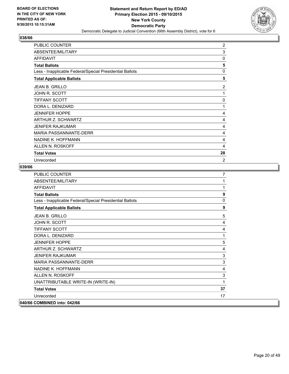

| PUBLIC COUNTER                                           | 2        |
|----------------------------------------------------------|----------|
| ABSENTEE/MILITARY                                        | 3        |
| <b>AFFIDAVIT</b>                                         | 0        |
| <b>Total Ballots</b>                                     | 5        |
| Less - Inapplicable Federal/Special Presidential Ballots | $\Omega$ |
| <b>Total Applicable Ballots</b>                          | 5        |
| <b>JEAN B. GRILLO</b>                                    | 2        |
| JOHN R. SCOTT                                            | 1        |
| <b>TIFFANY SCOTT</b>                                     | $\Omega$ |
| DORA L. DENIZARD                                         | 1        |
| <b>JENNIFER HOPPE</b>                                    | 4        |
| ARTHUR Z. SCHWARTZ                                       | 4        |
| <b>JENIFER RAJKUMAR</b>                                  | 4        |
| MARIA PASSANNANTE-DERR                                   | 4        |
| NADINE K. HOFFMANN                                       | 4        |
| ALLEN N. ROSKOFF                                         | 4        |
| <b>Total Votes</b>                                       | 28       |
| Unrecorded                                               | 2        |

| <b>PUBLIC COUNTER</b>                                    | $\overline{7}$ |
|----------------------------------------------------------|----------------|
| ABSENTEE/MILITARY                                        | 1              |
| <b>AFFIDAVIT</b>                                         | 1              |
| <b>Total Ballots</b>                                     | 9              |
| Less - Inapplicable Federal/Special Presidential Ballots | $\mathbf{0}$   |
| <b>Total Applicable Ballots</b>                          | 9              |
| <b>JEAN B. GRILLO</b>                                    | 5              |
| <b>JOHN R. SCOTT</b>                                     | 4              |
| <b>TIFFANY SCOTT</b>                                     | 4              |
| DORA L. DENIZARD                                         | 1              |
| <b>JENNIFER HOPPE</b>                                    | 5              |
| <b>ARTHUR Z. SCHWARTZ</b>                                | 4              |
| <b>JENIFER RAJKUMAR</b>                                  | 3              |
| <b>MARIA PASSANNANTE-DERR</b>                            | 3              |
| NADINE K. HOFFMANN                                       | 4              |
| ALLEN N. ROSKOFF                                         | 3              |
| UNATTRIBUTABLE WRITE-IN (WRITE-IN)                       | 1              |
| <b>Total Votes</b>                                       | 37             |
| Unrecorded                                               | 17             |
| 040/66 COMBINED into: 042/66                             |                |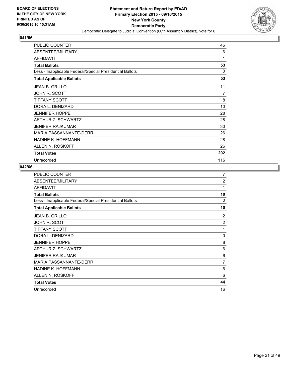

| PUBLIC COUNTER                                           | 46  |
|----------------------------------------------------------|-----|
| ABSENTEE/MILITARY                                        | 6   |
| <b>AFFIDAVIT</b>                                         | 1   |
| <b>Total Ballots</b>                                     | 53  |
| Less - Inapplicable Federal/Special Presidential Ballots | 0   |
| <b>Total Applicable Ballots</b>                          | 53  |
| <b>JEAN B. GRILLO</b>                                    | 11  |
| JOHN R. SCOTT                                            | 7   |
| <b>TIFFANY SCOTT</b>                                     | 8   |
| DORA L. DENIZARD                                         | 10  |
| <b>JENNIFER HOPPE</b>                                    | 28  |
| ARTHUR Z. SCHWARTZ                                       | 28  |
| <b>JENIFER RAJKUMAR</b>                                  | 30  |
| <b>MARIA PASSANNANTE-DERR</b>                            | 26  |
| NADINE K. HOFFMANN                                       | 28  |
| ALLEN N. ROSKOFF                                         | 26  |
| <b>Total Votes</b>                                       | 202 |
| Unrecorded                                               | 116 |

| <b>PUBLIC COUNTER</b>                                    | 7              |
|----------------------------------------------------------|----------------|
| ABSENTEE/MILITARY                                        | $\overline{2}$ |
| <b>AFFIDAVIT</b>                                         | 1              |
| <b>Total Ballots</b>                                     | 10             |
| Less - Inapplicable Federal/Special Presidential Ballots | 0              |
| <b>Total Applicable Ballots</b>                          | 10             |
| JEAN B. GRILLO                                           | 2              |
| JOHN R. SCOTT                                            | $\overline{2}$ |
| <b>TIFFANY SCOTT</b>                                     | 1              |
| DORA L. DENIZARD                                         | 0              |
| <b>JENNIFER HOPPE</b>                                    | 8              |
| ARTHUR Z. SCHWARTZ                                       | 6              |
| <b>JENIFER RAJKUMAR</b>                                  | 6              |
| <b>MARIA PASSANNANTE-DERR</b>                            | 7              |
| NADINE K. HOFFMANN                                       | 6              |
| ALLEN N. ROSKOFF                                         | 6              |
| <b>Total Votes</b>                                       | 44             |
| Unrecorded                                               | 16             |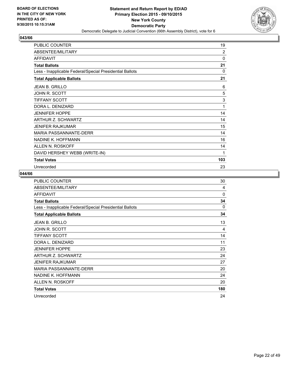

| PUBLIC COUNTER                                           | 19             |
|----------------------------------------------------------|----------------|
| ABSENTEE/MILITARY                                        | $\overline{2}$ |
| <b>AFFIDAVIT</b>                                         | 0              |
| <b>Total Ballots</b>                                     | 21             |
| Less - Inapplicable Federal/Special Presidential Ballots | 0              |
| <b>Total Applicable Ballots</b>                          | 21             |
| <b>JEAN B. GRILLO</b>                                    | 6              |
| <b>JOHN R. SCOTT</b>                                     | 5              |
| <b>TIFFANY SCOTT</b>                                     | 3              |
| DORA L. DENIZARD                                         | 1              |
| <b>JENNIFER HOPPE</b>                                    | 14             |
| ARTHUR Z. SCHWARTZ                                       | 14             |
| <b>JENIFER RAJKUMAR</b>                                  | 15             |
| <b>MARIA PASSANNANTE-DERR</b>                            | 14             |
| NADINE K. HOFFMANN                                       | 16             |
| ALLEN N. ROSKOFF                                         | 14             |
| DAVID HERSHEY WEBB (WRITE-IN)                            | 1              |
| <b>Total Votes</b>                                       | 103            |
| Unrecorded                                               | 23             |

| <b>PUBLIC COUNTER</b>                                    | 30       |
|----------------------------------------------------------|----------|
| ABSENTEE/MILITARY                                        | 4        |
| <b>AFFIDAVIT</b>                                         | $\Omega$ |
| <b>Total Ballots</b>                                     | 34       |
| Less - Inapplicable Federal/Special Presidential Ballots | 0        |
| <b>Total Applicable Ballots</b>                          | 34       |
| <b>JEAN B. GRILLO</b>                                    | 13       |
| JOHN R. SCOTT                                            | 4        |
| <b>TIFFANY SCOTT</b>                                     | 14       |
| DORA L. DENIZARD                                         | 11       |
| <b>JENNIFER HOPPE</b>                                    | 23       |
| ARTHUR Z. SCHWARTZ                                       | 24       |
| <b>JENIFER RAJKUMAR</b>                                  | 27       |
| MARIA PASSANNANTE-DERR                                   | 20       |
| NADINE K. HOFFMANN                                       | 24       |
| ALLEN N. ROSKOFF                                         | 20       |
| <b>Total Votes</b>                                       | 180      |
| Unrecorded                                               | 24       |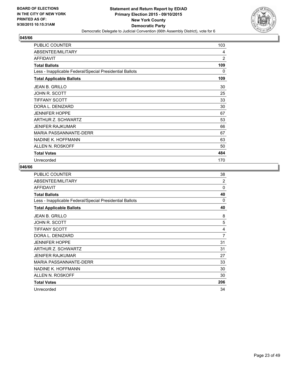

| <b>PUBLIC COUNTER</b>                                    | 103            |
|----------------------------------------------------------|----------------|
| ABSENTEE/MILITARY                                        | 4              |
| <b>AFFIDAVIT</b>                                         | $\overline{2}$ |
| <b>Total Ballots</b>                                     | 109            |
| Less - Inapplicable Federal/Special Presidential Ballots | 0              |
| <b>Total Applicable Ballots</b>                          | 109            |
| <b>JEAN B. GRILLO</b>                                    | 30             |
| JOHN R. SCOTT                                            | 25             |
| <b>TIFFANY SCOTT</b>                                     | 33             |
| DORA L. DENIZARD                                         | 30             |
| <b>JENNIFER HOPPE</b>                                    | 67             |
| ARTHUR Z. SCHWARTZ                                       | 53             |
| <b>JENIFER RAJKUMAR</b>                                  | 66             |
| MARIA PASSANNANTE-DERR                                   | 67             |
| NADINE K. HOFFMANN                                       | 63             |
| ALLEN N. ROSKOFF                                         | 50             |
| <b>Total Votes</b>                                       | 484            |
| Unrecorded                                               | 170            |

| PUBLIC COUNTER                                           | 38           |
|----------------------------------------------------------|--------------|
| ABSENTEE/MILITARY                                        | 2            |
| <b>AFFIDAVIT</b>                                         | $\mathbf{0}$ |
| <b>Total Ballots</b>                                     | 40           |
| Less - Inapplicable Federal/Special Presidential Ballots | 0            |
| <b>Total Applicable Ballots</b>                          | 40           |
| <b>JEAN B. GRILLO</b>                                    | 8            |
| <b>JOHN R. SCOTT</b>                                     | 5            |
| <b>TIFFANY SCOTT</b>                                     | 4            |
| DORA L. DENIZARD                                         | 7            |
| <b>JENNIFER HOPPE</b>                                    | 31           |
| ARTHUR Z. SCHWARTZ                                       | 31           |
| <b>JENIFER RAJKUMAR</b>                                  | 27           |
| MARIA PASSANNANTE-DERR                                   | 33           |
| NADINE K. HOFFMANN                                       | 30           |
| ALLEN N. ROSKOFF                                         | 30           |
| <b>Total Votes</b>                                       | 206          |
| Unrecorded                                               | 34           |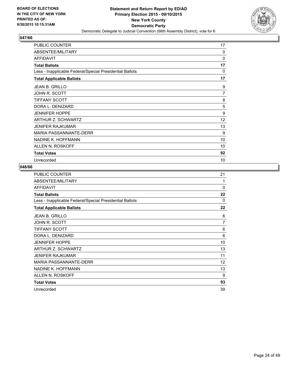

| <b>PUBLIC COUNTER</b>                                    | 17       |
|----------------------------------------------------------|----------|
| ABSENTEE/MILITARY                                        | $\Omega$ |
| <b>AFFIDAVIT</b>                                         | 0        |
| <b>Total Ballots</b>                                     | 17       |
| Less - Inapplicable Federal/Special Presidential Ballots | $\Omega$ |
| <b>Total Applicable Ballots</b>                          | 17       |
| <b>JEAN B. GRILLO</b>                                    | 9        |
| JOHN R. SCOTT                                            | 7        |
| <b>TIFFANY SCOTT</b>                                     | 8        |
| DORA L. DENIZARD                                         | 5        |
| <b>JENNIFER HOPPE</b>                                    | 9        |
| ARTHUR Z. SCHWARTZ                                       | 12       |
| <b>JENIFER RAJKUMAR</b>                                  | 13       |
| <b>MARIA PASSANNANTE-DERR</b>                            | 9        |
| NADINE K. HOFFMANN                                       | 10       |
| ALLEN N. ROSKOFF                                         | 10       |
| <b>Total Votes</b>                                       | 92       |
| Unrecorded                                               | 10       |

| <b>PUBLIC COUNTER</b>                                    | 21       |
|----------------------------------------------------------|----------|
| ABSENTEE/MILITARY                                        | 1        |
| <b>AFFIDAVIT</b>                                         | $\Omega$ |
| <b>Total Ballots</b>                                     | 22       |
| Less - Inapplicable Federal/Special Presidential Ballots | 0        |
| <b>Total Applicable Ballots</b>                          | 22       |
| JEAN B. GRILLO                                           | 6        |
| JOHN R. SCOTT                                            | 7        |
| TIFFANY SCOTT                                            | 6        |
| DORA L. DENIZARD                                         | 6        |
| <b>JENNIFER HOPPE</b>                                    | 10       |
| ARTHUR Z. SCHWARTZ                                       | 13       |
| <b>JENIFER RAJKUMAR</b>                                  | 11       |
| <b>MARIA PASSANNANTE-DERR</b>                            | 12       |
| NADINE K. HOFFMANN                                       | 13       |
| ALLEN N. ROSKOFF                                         | 9        |
| <b>Total Votes</b>                                       | 93       |
| Unrecorded                                               | 39       |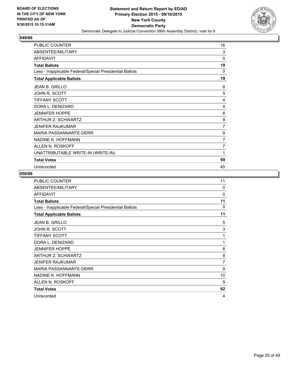

| PUBLIC COUNTER                                           | 16             |
|----------------------------------------------------------|----------------|
| ABSENTEE/MILITARY                                        | 3              |
| <b>AFFIDAVIT</b>                                         | 0              |
| <b>Total Ballots</b>                                     | 19             |
| Less - Inapplicable Federal/Special Presidential Ballots | 0              |
| <b>Total Applicable Ballots</b>                          | 19             |
| JEAN B. GRILLO                                           | 8              |
| <b>JOHN R. SCOTT</b>                                     | 5              |
| <b>TIFFANY SCOTT</b>                                     | 4              |
| DORA L. DENIZARD                                         | 4              |
| <b>JENNIFER HOPPE</b>                                    | 8              |
| ARTHUR Z. SCHWARTZ                                       | 9              |
| <b>JENIFER RAJKUMAR</b>                                  | $\overline{7}$ |
| <b>MARIA PASSANNANTE-DERR</b>                            | 9              |
| NADINE K. HOFFMANN                                       | $\overline{7}$ |
| ALLEN N. ROSKOFF                                         | 7              |
| UNATTRIBUTABLE WRITE-IN (WRITE-IN)                       | 1              |
| <b>Total Votes</b>                                       | 69             |
| Unrecorded                                               | 45             |

| <b>PUBLIC COUNTER</b>                                    | 11       |
|----------------------------------------------------------|----------|
| ABSENTEE/MILITARY                                        | $\Omega$ |
| <b>AFFIDAVIT</b>                                         | 0        |
| <b>Total Ballots</b>                                     | 11       |
| Less - Inapplicable Federal/Special Presidential Ballots | $\Omega$ |
| <b>Total Applicable Ballots</b>                          | 11       |
| <b>JEAN B. GRILLO</b>                                    | 5        |
| JOHN R. SCOTT                                            | 3        |
| <b>TIFFANY SCOTT</b>                                     | 1        |
| DORA L. DENIZARD                                         | 1        |
| <b>JENNIFER HOPPE</b>                                    | 8        |
| ARTHUR Z. SCHWARTZ                                       | 9        |
| <b>JENIFER RAJKUMAR</b>                                  | 7        |
| MARIA PASSANNANTE-DERR                                   | 9        |
| NADINE K. HOFFMANN                                       | 10       |
| ALLEN N. ROSKOFF                                         | 9        |
| <b>Total Votes</b>                                       | 62       |
| Unrecorded                                               | 4        |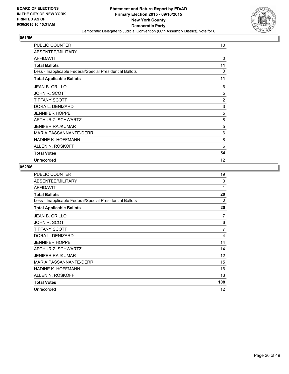

| <b>PUBLIC COUNTER</b>                                    | 10             |
|----------------------------------------------------------|----------------|
| ABSENTEE/MILITARY                                        | 1              |
| <b>AFFIDAVIT</b>                                         | 0              |
| <b>Total Ballots</b>                                     | 11             |
| Less - Inapplicable Federal/Special Presidential Ballots | 0              |
| <b>Total Applicable Ballots</b>                          | 11             |
| <b>JEAN B. GRILLO</b>                                    | 6              |
| JOHN R. SCOTT                                            | 5              |
| <b>TIFFANY SCOTT</b>                                     | $\overline{2}$ |
| DORA L. DENIZARD                                         | 3              |
| <b>JENNIFER HOPPE</b>                                    | 5              |
| ARTHUR Z. SCHWARTZ                                       | 8              |
| <b>JENIFER RAJKUMAR</b>                                  | 5              |
| <b>MARIA PASSANNANTE-DERR</b>                            | 6              |
| NADINE K. HOFFMANN                                       | 8              |
| ALLEN N. ROSKOFF                                         | 6              |
| <b>Total Votes</b>                                       | 54             |
| Unrecorded                                               | 12             |

| PUBLIC COUNTER                                           | 19             |
|----------------------------------------------------------|----------------|
| ABSENTEE/MILITARY                                        | $\Omega$       |
| <b>AFFIDAVIT</b>                                         | 1              |
| <b>Total Ballots</b>                                     | 20             |
| Less - Inapplicable Federal/Special Presidential Ballots | $\Omega$       |
| <b>Total Applicable Ballots</b>                          | 20             |
| <b>JEAN B. GRILLO</b>                                    | 7              |
| <b>JOHN R. SCOTT</b>                                     | 6              |
| <b>TIFFANY SCOTT</b>                                     | $\overline{7}$ |
| DORA L. DENIZARD                                         | 4              |
| <b>JENNIFER HOPPE</b>                                    | 14             |
| ARTHUR Z. SCHWARTZ                                       | 14             |
| <b>JENIFER RAJKUMAR</b>                                  | 12             |
| <b>MARIA PASSANNANTE-DERR</b>                            | 15             |
| NADINE K. HOFFMANN                                       | 16             |
| ALLEN N. ROSKOFF                                         | 13             |
| <b>Total Votes</b>                                       | 108            |
| Unrecorded                                               | 12             |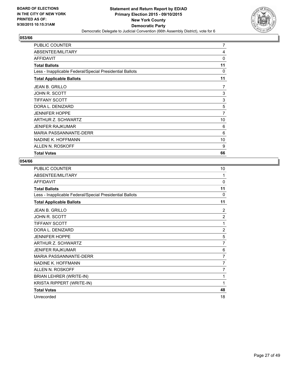

| ALLEN N. ROSKOFF                                         | 9  |
|----------------------------------------------------------|----|
| NADINE K. HOFFMANN                                       | 10 |
| MARIA PASSANNANTE-DERR                                   | 6  |
| <b>JENIFER RAJKUMAR</b>                                  | 6  |
| ARTHUR Z. SCHWARTZ                                       | 10 |
| <b>JENNIFER HOPPE</b>                                    | 7  |
| DORA L. DENIZARD                                         | 5  |
| <b>TIFFANY SCOTT</b>                                     | 3  |
| JOHN R. SCOTT                                            | 3  |
| <b>JEAN B. GRILLO</b>                                    | 7  |
| <b>Total Applicable Ballots</b>                          | 11 |
| Less - Inapplicable Federal/Special Presidential Ballots | 0  |
| <b>Total Ballots</b>                                     | 11 |
| <b>AFFIDAVIT</b>                                         | 0  |
| ABSENTEE/MILITARY                                        | 4  |
| <b>PUBLIC COUNTER</b>                                    | 7  |

| <b>PUBLIC COUNTER</b>                                    | 10             |
|----------------------------------------------------------|----------------|
| ABSENTEE/MILITARY                                        | 1              |
| <b>AFFIDAVIT</b>                                         | $\Omega$       |
| <b>Total Ballots</b>                                     | 11             |
| Less - Inapplicable Federal/Special Presidential Ballots | 0              |
| <b>Total Applicable Ballots</b>                          | 11             |
| <b>JEAN B. GRILLO</b>                                    | 2              |
| <b>JOHN R. SCOTT</b>                                     | $\overline{2}$ |
| <b>TIFFANY SCOTT</b>                                     | 1              |
| DORA L. DENIZARD                                         | $\overline{2}$ |
| <b>JENNIFER HOPPE</b>                                    | 5              |
| <b>ARTHUR Z. SCHWARTZ</b>                                | 7              |
| <b>JENIFER RAJKUMAR</b>                                  | 6              |
| <b>MARIA PASSANNANTE-DERR</b>                            | 7              |
| NADINE K. HOFFMANN                                       | $\overline{7}$ |
| ALLEN N. ROSKOFF                                         | 7              |
| BRIAN LEHRER (WRITE-IN)                                  | 1              |
| KRISTA RIPPERT (WRITE-IN)                                | 1              |
| <b>Total Votes</b>                                       | 48             |
| Unrecorded                                               | 18             |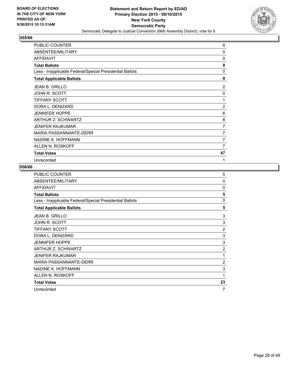

| PUBLIC COUNTER                                           | 8              |
|----------------------------------------------------------|----------------|
| ABSENTEE/MILITARY                                        | $\Omega$       |
| <b>AFFIDAVIT</b>                                         | $\Omega$       |
| <b>Total Ballots</b>                                     | 8              |
| Less - Inapplicable Federal/Special Presidential Ballots | $\Omega$       |
| <b>Total Applicable Ballots</b>                          | 8              |
| <b>JEAN B. GRILLO</b>                                    | 2              |
| JOHN R. SCOTT                                            | 0              |
| <b>TIFFANY SCOTT</b>                                     | 1              |
| DORA L. DENIZARD                                         | $\overline{2}$ |
| <b>JENNIFER HOPPE</b>                                    | 6              |
| ARTHUR Z. SCHWARTZ                                       | 8              |
| <b>JENIFER RAJKUMAR</b>                                  | 7              |
| <b>MARIA PASSANNANTE-DERR</b>                            | 7              |
| NADINE K. HOFFMANN                                       | 7              |
| ALLEN N. ROSKOFF                                         | 7              |
| <b>Total Votes</b>                                       | 47             |
| Unrecorded                                               | 1              |

| PUBLIC COUNTER                                           | 5              |
|----------------------------------------------------------|----------------|
| ABSENTEE/MILITARY                                        | 0              |
| <b>AFFIDAVIT</b>                                         | $\Omega$       |
| <b>Total Ballots</b>                                     | 5              |
| Less - Inapplicable Federal/Special Presidential Ballots | $\Omega$       |
| <b>Total Applicable Ballots</b>                          | 5              |
| <b>JEAN B. GRILLO</b>                                    | 3              |
| JOHN R. SCOTT                                            | 3              |
| <b>TIFFANY SCOTT</b>                                     | $\overline{2}$ |
| DORA L. DENIZARD                                         | 3              |
| <b>JENNIFER HOPPE</b>                                    | 3              |
| ARTHUR Z. SCHWARTZ                                       | $\overline{2}$ |
| <b>JENIFER RAJKUMAR</b>                                  | 1              |
| <b>MARIA PASSANNANTE-DERR</b>                            | $\overline{2}$ |
| NADINE K. HOFFMANN                                       | 3              |
| ALLEN N. ROSKOFF                                         | 1              |
| <b>Total Votes</b>                                       | 23             |
| Unrecorded                                               | 7              |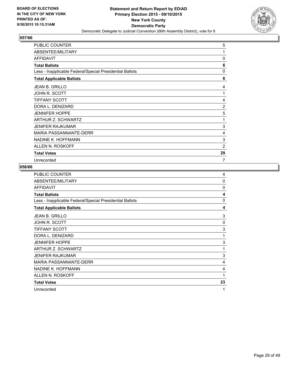

| <b>PUBLIC COUNTER</b>                                    | 5              |
|----------------------------------------------------------|----------------|
| ABSENTEE/MILITARY                                        | 1              |
| <b>AFFIDAVIT</b>                                         | $\Omega$       |
| <b>Total Ballots</b>                                     | 6              |
| Less - Inapplicable Federal/Special Presidential Ballots | $\Omega$       |
| <b>Total Applicable Ballots</b>                          | 6              |
| <b>JEAN B. GRILLO</b>                                    | 4              |
| JOHN R. SCOTT                                            | $\mathbf{1}$   |
| <b>TIFFANY SCOTT</b>                                     | 4              |
| DORA L. DENIZARD                                         | $\overline{2}$ |
| <b>JENNIFER HOPPE</b>                                    | 5              |
| ARTHUR Z. SCHWARTZ                                       | 1              |
| <b>JENIFER RAJKUMAR</b>                                  | 3              |
| <b>MARIA PASSANNANTE-DERR</b>                            | 4              |
| NADINE K. HOFFMANN                                       | 3              |
| ALLEN N. ROSKOFF                                         | 2              |
| <b>Total Votes</b>                                       | 29             |
| Unrecorded                                               | 7              |

| <b>PUBLIC COUNTER</b>                                    | 4        |
|----------------------------------------------------------|----------|
| ABSENTEE/MILITARY                                        | 0        |
| <b>AFFIDAVIT</b>                                         | $\Omega$ |
| <b>Total Ballots</b>                                     | 4        |
| Less - Inapplicable Federal/Special Presidential Ballots | 0        |
| <b>Total Applicable Ballots</b>                          | 4        |
| JEAN B. GRILLO                                           | 3        |
| JOHN R. SCOTT                                            | 0        |
| <b>TIFFANY SCOTT</b>                                     | 3        |
| DORA L. DENIZARD                                         | 1        |
| <b>JENNIFER HOPPE</b>                                    | 3        |
| ARTHUR Z. SCHWARTZ                                       | 1        |
| <b>JENIFER RAJKUMAR</b>                                  | 3        |
| <b>MARIA PASSANNANTE-DERR</b>                            | 4        |
| NADINE K. HOFFMANN                                       | 4        |
| ALLEN N. ROSKOFF                                         | 1        |
| <b>Total Votes</b>                                       | 23       |
| Unrecorded                                               | 1        |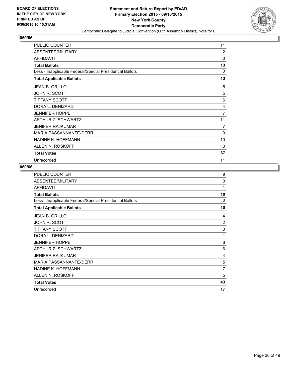

| <b>PUBLIC COUNTER</b>                                    | 11       |
|----------------------------------------------------------|----------|
| ABSENTEE/MILITARY                                        | 2        |
| <b>AFFIDAVIT</b>                                         | $\Omega$ |
| <b>Total Ballots</b>                                     | 13       |
| Less - Inapplicable Federal/Special Presidential Ballots | 0        |
| <b>Total Applicable Ballots</b>                          | 13       |
| <b>JEAN B. GRILLO</b>                                    | 5        |
| JOHN R. SCOTT                                            | 5        |
| <b>TIFFANY SCOTT</b>                                     | 6        |
| DORA L. DENIZARD                                         | 4        |
| <b>JENNIFER HOPPE</b>                                    | 7        |
| ARTHUR Z. SCHWARTZ                                       | 11       |
| <b>JENIFER RAJKUMAR</b>                                  | 7        |
| <b>MARIA PASSANNANTE-DERR</b>                            | 9        |
| NADINE K. HOFFMANN                                       | 10       |
| ALLEN N. ROSKOFF                                         | 3        |
| <b>Total Votes</b>                                       | 67       |
| Unrecorded                                               | 11       |

| <b>PUBLIC COUNTER</b>                                    | 9              |
|----------------------------------------------------------|----------------|
| ABSENTEE/MILITARY                                        | 0              |
| <b>AFFIDAVIT</b>                                         | 1              |
| <b>Total Ballots</b>                                     | 10             |
| Less - Inapplicable Federal/Special Presidential Ballots | $\Omega$       |
| <b>Total Applicable Ballots</b>                          | 10             |
| <b>JEAN B. GRILLO</b>                                    | 4              |
| <b>JOHN R. SCOTT</b>                                     | 2              |
| <b>TIFFANY SCOTT</b>                                     | 3              |
| DORA L. DENIZARD                                         | 1              |
| <b>JENNIFER HOPPE</b>                                    | 6              |
| ARTHUR Z. SCHWARTZ                                       | 6              |
| <b>JENIFER RAJKUMAR</b>                                  | 4              |
| <b>MARIA PASSANNANTE-DERR</b>                            | 5              |
| NADINE K. HOFFMANN                                       | $\overline{7}$ |
| ALLEN N. ROSKOFF                                         | 5              |
| <b>Total Votes</b>                                       | 43             |
| Unrecorded                                               | 17             |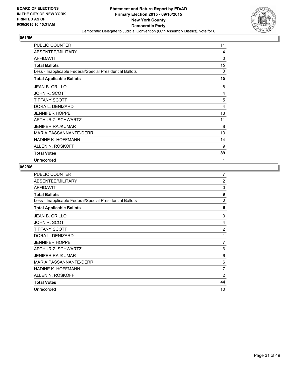

| <b>PUBLIC COUNTER</b>                                    | 11           |
|----------------------------------------------------------|--------------|
| ABSENTEE/MILITARY                                        | 4            |
| <b>AFFIDAVIT</b>                                         | $\mathbf{0}$ |
| <b>Total Ballots</b>                                     | 15           |
| Less - Inapplicable Federal/Special Presidential Ballots | $\Omega$     |
| <b>Total Applicable Ballots</b>                          | 15           |
| <b>JEAN B. GRILLO</b>                                    | 8            |
| JOHN R. SCOTT                                            | 4            |
| <b>TIFFANY SCOTT</b>                                     | 5            |
| DORA L. DENIZARD                                         | 4            |
| <b>JENNIFER HOPPE</b>                                    | 13           |
| ARTHUR Z. SCHWARTZ                                       | 11           |
| <b>JENIFER RAJKUMAR</b>                                  | 8            |
| <b>MARIA PASSANNANTE-DERR</b>                            | 13           |
| NADINE K. HOFFMANN                                       | 14           |
| ALLEN N. ROSKOFF                                         | 9            |
| <b>Total Votes</b>                                       | 89           |
| Unrecorded                                               | 1            |

| <b>PUBLIC COUNTER</b>                                    | 7              |
|----------------------------------------------------------|----------------|
| ABSENTEE/MILITARY                                        | $\overline{2}$ |
| <b>AFFIDAVIT</b>                                         | $\Omega$       |
| <b>Total Ballots</b>                                     | 9              |
| Less - Inapplicable Federal/Special Presidential Ballots | 0              |
| <b>Total Applicable Ballots</b>                          | 9              |
| JEAN B. GRILLO                                           | 3              |
| <b>JOHN R. SCOTT</b>                                     | 4              |
| <b>TIFFANY SCOTT</b>                                     | $\overline{2}$ |
| DORA L. DENIZARD                                         | 1              |
| <b>JENNIFER HOPPE</b>                                    | $\overline{7}$ |
| ARTHUR Z. SCHWARTZ                                       | 6              |
| <b>JENIFER RAJKUMAR</b>                                  | 6              |
| MARIA PASSANNANTE-DERR                                   | 6              |
| NADINE K. HOFFMANN                                       | $\overline{7}$ |
| ALLEN N. ROSKOFF                                         | $\overline{2}$ |
| <b>Total Votes</b>                                       | 44             |
| Unrecorded                                               | 10             |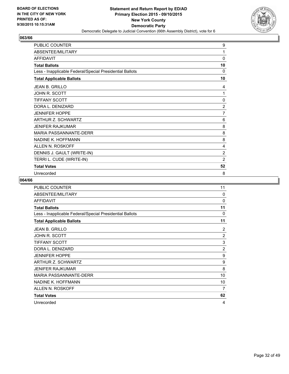

| <b>PUBLIC COUNTER</b>                                    | 9              |
|----------------------------------------------------------|----------------|
| ABSENTEE/MILITARY                                        | 1              |
| <b>AFFIDAVIT</b>                                         | 0              |
| <b>Total Ballots</b>                                     | 10             |
| Less - Inapplicable Federal/Special Presidential Ballots | 0              |
| <b>Total Applicable Ballots</b>                          | 10             |
| <b>JEAN B. GRILLO</b>                                    | 4              |
| JOHN R. SCOTT                                            | 1              |
| <b>TIFFANY SCOTT</b>                                     | 0              |
| DORA L. DENIZARD                                         | 2              |
| <b>JENNIFER HOPPE</b>                                    | $\overline{7}$ |
| ARTHUR Z. SCHWARTZ                                       | 6              |
| <b>JENIFER RAJKUMAR</b>                                  | 8              |
| <b>MARIA PASSANNANTE-DERR</b>                            | 8              |
| NADINE K. HOFFMANN                                       | 8              |
| ALLEN N. ROSKOFF                                         | 4              |
| DENNIS J. GAULT (WRITE-IN)                               | $\overline{2}$ |
| TERRI L. CUDE (WRITE-IN)                                 | $\overline{2}$ |
| <b>Total Votes</b>                                       | 52             |
| Unrecorded                                               | 8              |

| PUBLIC COUNTER                                           | 11             |
|----------------------------------------------------------|----------------|
| ABSENTEE/MILITARY                                        | $\Omega$       |
| <b>AFFIDAVIT</b>                                         | $\Omega$       |
| <b>Total Ballots</b>                                     | 11             |
| Less - Inapplicable Federal/Special Presidential Ballots | 0              |
| <b>Total Applicable Ballots</b>                          | 11             |
| <b>JEAN B. GRILLO</b>                                    | $\overline{2}$ |
| JOHN R. SCOTT                                            | $\overline{2}$ |
| <b>TIFFANY SCOTT</b>                                     | 3              |
| DORA L. DENIZARD                                         | $\overline{2}$ |
| <b>JENNIFER HOPPE</b>                                    | 9              |
| ARTHUR Z. SCHWARTZ                                       | 9              |
| <b>JENIFER RAJKUMAR</b>                                  | 8              |
| <b>MARIA PASSANNANTE-DERR</b>                            | 10             |
| NADINE K. HOFFMANN                                       | 10             |
| ALLEN N. ROSKOFF                                         | 7              |
| <b>Total Votes</b>                                       | 62             |
| Unrecorded                                               | 4              |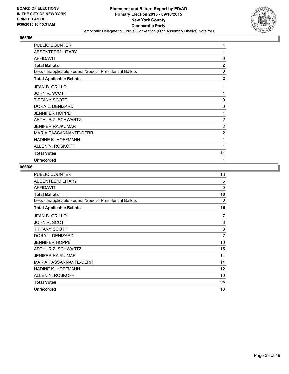

| PUBLIC COUNTER                                           | 1              |
|----------------------------------------------------------|----------------|
| ABSENTEE/MILITARY                                        | 1              |
| <b>AFFIDAVIT</b>                                         | 0              |
| <b>Total Ballots</b>                                     | $\overline{2}$ |
| Less - Inapplicable Federal/Special Presidential Ballots | $\mathbf{0}$   |
| <b>Total Applicable Ballots</b>                          | $\mathbf{2}$   |
| <b>JEAN B. GRILLO</b>                                    | 1              |
| JOHN R. SCOTT                                            | 1              |
| <b>TIFFANY SCOTT</b>                                     | 0              |
| DORA L. DENIZARD                                         | 0              |
| <b>JENNIFER HOPPE</b>                                    | 1              |
| ARTHUR Z. SCHWARTZ                                       | 2              |
| <b>JENIFER RAJKUMAR</b>                                  | 2              |
| <b>MARIA PASSANNANTE-DERR</b>                            | 2              |
| NADINE K. HOFFMANN                                       | 1              |
| ALLEN N. ROSKOFF                                         | 1              |
| <b>Total Votes</b>                                       | 11             |
| Unrecorded                                               | 1              |

| <b>PUBLIC COUNTER</b>                                    | 13             |
|----------------------------------------------------------|----------------|
| ABSENTEE/MILITARY                                        | 5              |
| <b>AFFIDAVIT</b>                                         | $\Omega$       |
| <b>Total Ballots</b>                                     | 18             |
| Less - Inapplicable Federal/Special Presidential Ballots | $\Omega$       |
| <b>Total Applicable Ballots</b>                          | 18             |
| JEAN B. GRILLO                                           | 7              |
| <b>JOHN R. SCOTT</b>                                     | 3              |
| <b>TIFFANY SCOTT</b>                                     | 3              |
| DORA L. DENIZARD                                         | $\overline{7}$ |
| <b>JENNIFER HOPPE</b>                                    | 10             |
| ARTHUR Z. SCHWARTZ                                       | 15             |
| <b>JENIFER RAJKUMAR</b>                                  | 14             |
| <b>MARIA PASSANNANTE-DERR</b>                            | 14             |
| NADINE K. HOFFMANN                                       | 12             |
| ALLEN N. ROSKOFF                                         | 10             |
| <b>Total Votes</b>                                       | 95             |
| Unrecorded                                               | 13             |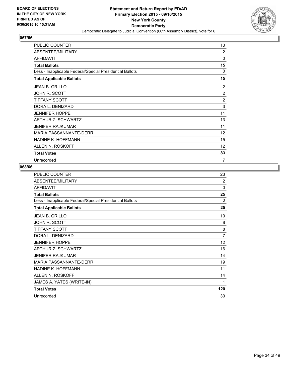

| <b>PUBLIC COUNTER</b>                                    | 13             |
|----------------------------------------------------------|----------------|
| ABSENTEE/MILITARY                                        | $\overline{2}$ |
| <b>AFFIDAVIT</b>                                         | $\mathbf{0}$   |
| <b>Total Ballots</b>                                     | 15             |
| Less - Inapplicable Federal/Special Presidential Ballots | $\Omega$       |
| <b>Total Applicable Ballots</b>                          | 15             |
| <b>JEAN B. GRILLO</b>                                    | 2              |
| JOHN R. SCOTT                                            | $\overline{2}$ |
| <b>TIFFANY SCOTT</b>                                     | $\overline{2}$ |
| DORA L. DENIZARD                                         | 3              |
| <b>JENNIFER HOPPE</b>                                    | 11             |
| ARTHUR Z. SCHWARTZ                                       | 13             |
| <b>JENIFER RAJKUMAR</b>                                  | 11             |
| <b>MARIA PASSANNANTE-DERR</b>                            | 12             |
| NADINE K. HOFFMANN                                       | 15             |
| ALLEN N. ROSKOFF                                         | 12             |
| <b>Total Votes</b>                                       | 83             |
| Unrecorded                                               | 7              |

| PUBLIC COUNTER                                           | 23             |
|----------------------------------------------------------|----------------|
| ABSENTEE/MILITARY                                        | $\overline{2}$ |
| <b>AFFIDAVIT</b>                                         | $\Omega$       |
| <b>Total Ballots</b>                                     | 25             |
| Less - Inapplicable Federal/Special Presidential Ballots | $\Omega$       |
| <b>Total Applicable Ballots</b>                          | 25             |
| <b>JEAN B. GRILLO</b>                                    | 10             |
| JOHN R. SCOTT                                            | 8              |
| <b>TIFFANY SCOTT</b>                                     | 8              |
| DORA L. DENIZARD                                         | 7              |
| <b>JENNIFER HOPPE</b>                                    | 12             |
| ARTHUR Z. SCHWARTZ                                       | 16             |
| JENIFER RAJKUMAR                                         | 14             |
| MARIA PASSANNANTE-DERR                                   | 19             |
| NADINE K. HOFFMANN                                       | 11             |
| ALLEN N. ROSKOFF                                         | 14             |
| JAMES A. YATES (WRITE-IN)                                | 1              |
| <b>Total Votes</b>                                       | 120            |
| Unrecorded                                               | 30             |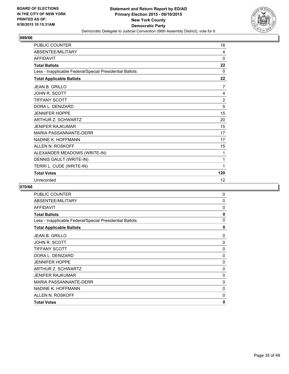

| PUBLIC COUNTER                                           | 18             |
|----------------------------------------------------------|----------------|
| <b>ABSENTEE/MILITARY</b>                                 | 4              |
| <b>AFFIDAVIT</b>                                         | 0              |
| <b>Total Ballots</b>                                     | 22             |
| Less - Inapplicable Federal/Special Presidential Ballots | 0              |
| <b>Total Applicable Ballots</b>                          | 22             |
| <b>JEAN B. GRILLO</b>                                    | 7              |
| JOHN R. SCOTT                                            | 4              |
| <b>TIFFANY SCOTT</b>                                     | $\overline{2}$ |
| DORA L. DENIZARD                                         | 5              |
| <b>JENNIFER HOPPE</b>                                    | 15             |
| <b>ARTHUR Z. SCHWARTZ</b>                                | 20             |
| JENIFER RAJKUMAR                                         | 15             |
| <b>MARIA PASSANNANTE-DERR</b>                            | 17             |
| NADINE K. HOFFMANN                                       | 17             |
| ALLEN N. ROSKOFF                                         | 15             |
| ALEXANDER MEADOWS (WRITE-IN)                             | 1              |
| DENNIS GAULT (WRITE-IN)                                  | 1              |
| TERRI L. CUDE (WRITE-IN)                                 | 1              |
| <b>Total Votes</b>                                       | 120            |
| Unrecorded                                               | 12             |

| <b>PUBLIC COUNTER</b>                                    | 0            |
|----------------------------------------------------------|--------------|
| ABSENTEE/MILITARY                                        | 0            |
| <b>AFFIDAVIT</b>                                         | 0            |
| <b>Total Ballots</b>                                     | $\mathbf{0}$ |
| Less - Inapplicable Federal/Special Presidential Ballots | 0            |
| <b>Total Applicable Ballots</b>                          | 0            |
| <b>JEAN B. GRILLO</b>                                    | 0            |
| JOHN R. SCOTT                                            | 0            |
| <b>TIFFANY SCOTT</b>                                     | 0            |
| DORA L. DENIZARD                                         | 0            |
| <b>JENNIFER HOPPE</b>                                    | 0            |
| ARTHUR Z. SCHWARTZ                                       | 0            |
| <b>JENIFER RAJKUMAR</b>                                  | 0            |
| <b>MARIA PASSANNANTE-DERR</b>                            | 0            |
| NADINE K. HOFFMANN                                       | 0            |
| ALLEN N. ROSKOFF                                         | 0            |
| <b>Total Votes</b>                                       | 0            |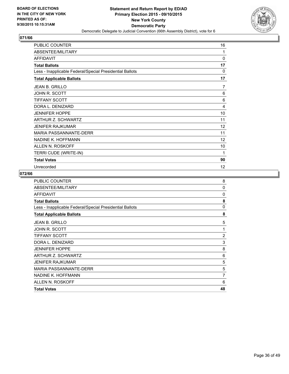

| PUBLIC COUNTER                                           | 16       |
|----------------------------------------------------------|----------|
| ABSENTEE/MILITARY                                        | 1        |
| <b>AFFIDAVIT</b>                                         | 0        |
| <b>Total Ballots</b>                                     | 17       |
| Less - Inapplicable Federal/Special Presidential Ballots | $\Omega$ |
| <b>Total Applicable Ballots</b>                          | 17       |
| JEAN B. GRILLO                                           | 7        |
| <b>JOHN R. SCOTT</b>                                     | 6        |
| <b>TIFFANY SCOTT</b>                                     | 6        |
| DORA L. DENIZARD                                         | 4        |
| <b>JENNIFER HOPPE</b>                                    | 10       |
| <b>ARTHUR Z. SCHWARTZ</b>                                | 11       |
| <b>JENIFER RAJKUMAR</b>                                  | 12       |
| <b>MARIA PASSANNANTE-DERR</b>                            | 11       |
| NADINE K. HOFFMANN                                       | 12       |
| ALLEN N. ROSKOFF                                         | 10       |
| TERRI CUDE (WRITE-IN)                                    | 1        |
| <b>Total Votes</b>                                       | 90       |
| Unrecorded                                               | 12       |

| PUBLIC COUNTER                                           | 8              |
|----------------------------------------------------------|----------------|
| ABSENTEE/MILITARY                                        | 0              |
| <b>AFFIDAVIT</b>                                         | $\Omega$       |
| <b>Total Ballots</b>                                     | 8              |
| Less - Inapplicable Federal/Special Presidential Ballots | 0              |
| <b>Total Applicable Ballots</b>                          | 8              |
| <b>JEAN B. GRILLO</b>                                    | 5              |
| JOHN R. SCOTT                                            | 1              |
| <b>TIFFANY SCOTT</b>                                     | $\overline{2}$ |
| DORA L. DENIZARD                                         | 3              |
| <b>JENNIFER HOPPE</b>                                    | 8              |
| ARTHUR Z. SCHWARTZ                                       | 6              |
| <b>JENIFER RAJKUMAR</b>                                  | 5              |
| <b>MARIA PASSANNANTE-DERR</b>                            | 5              |
| NADINE K. HOFFMANN                                       | 7              |
| ALLEN N. ROSKOFF                                         | 6              |
| <b>Total Votes</b>                                       | 48             |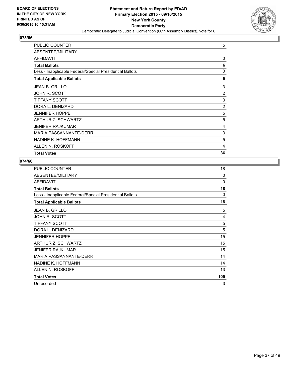

| ARTHUR Z. SCHWARTZ                                       | 5              |
|----------------------------------------------------------|----------------|
| <b>JENNIFER HOPPE</b>                                    | 5              |
| DORA L. DENIZARD                                         | $\overline{2}$ |
| <b>TIFFANY SCOTT</b>                                     | 3              |
| JOHN R. SCOTT                                            | 2              |
| <b>JEAN B. GRILLO</b>                                    | 3              |
| <b>Total Applicable Ballots</b>                          | 6              |
| Less - Inapplicable Federal/Special Presidential Ballots | 0              |
| <b>Total Ballots</b>                                     | 6              |
| <b>AFFIDAVIT</b>                                         | 0              |
| ABSENTEE/MILITARY                                        | 1              |
| <b>PUBLIC COUNTER</b>                                    | 5              |

| <b>PUBLIC COUNTER</b>                                    | 18       |
|----------------------------------------------------------|----------|
| ABSENTEE/MILITARY                                        | 0        |
| <b>AFFIDAVIT</b>                                         | 0        |
| <b>Total Ballots</b>                                     | 18       |
| Less - Inapplicable Federal/Special Presidential Ballots | $\Omega$ |
| <b>Total Applicable Ballots</b>                          | 18       |
| <b>JEAN B. GRILLO</b>                                    | 5        |
| JOHN R. SCOTT                                            | 4        |
| TIFFANY SCOTT                                            | 5        |
| DORA L. DENIZARD                                         | 5        |
| <b>JENNIFER HOPPE</b>                                    | 15       |
| ARTHUR Z. SCHWARTZ                                       | 15       |
| JENIFER RAJKUMAR                                         | 15       |
| MARIA PASSANNANTE-DERR                                   | 14       |
| NADINE K. HOFFMANN                                       | 14       |
| ALLEN N. ROSKOFF                                         | 13       |
| <b>Total Votes</b>                                       | 105      |
| Unrecorded                                               | 3        |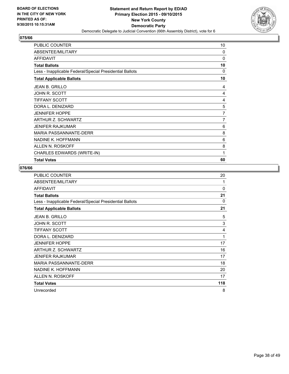

| PUBLIC COUNTER                                           | 10       |
|----------------------------------------------------------|----------|
| ABSENTEE/MILITARY                                        | 0        |
| <b>AFFIDAVIT</b>                                         | $\Omega$ |
| <b>Total Ballots</b>                                     | 10       |
| Less - Inapplicable Federal/Special Presidential Ballots | 0        |
| <b>Total Applicable Ballots</b>                          | 10       |
| <b>JEAN B. GRILLO</b>                                    | 4        |
| JOHN R. SCOTT                                            | 4        |
| <b>TIFFANY SCOTT</b>                                     | 4        |
| DORA L. DENIZARD                                         | 5        |
| <b>JENNIFER HOPPE</b>                                    | 7        |
| ARTHUR Z. SCHWARTZ                                       | 7        |
| <b>JENIFER RAJKUMAR</b>                                  | 6        |
| <b>MARIA PASSANNANTE-DERR</b>                            | 8        |
| NADINE K. HOFFMANN                                       | 6        |
| ALLEN N. ROSKOFF                                         | 8        |
| CHARLES EDWARDS (WRITE-IN)                               | 1        |
| <b>Total Votes</b>                                       | 60       |

| <b>PUBLIC COUNTER</b>                                    | 20       |
|----------------------------------------------------------|----------|
| ABSENTEE/MILITARY                                        | 1        |
| <b>AFFIDAVIT</b>                                         | 0        |
| <b>Total Ballots</b>                                     | 21       |
| Less - Inapplicable Federal/Special Presidential Ballots | $\Omega$ |
| <b>Total Applicable Ballots</b>                          | 21       |
| <b>JEAN B. GRILLO</b>                                    | 5        |
| JOHN R. SCOTT                                            | 3        |
| <b>TIFFANY SCOTT</b>                                     | 4        |
| DORA L. DENIZARD                                         | 1        |
| <b>JENNIFER HOPPE</b>                                    | 17       |
| ARTHUR Z. SCHWARTZ                                       | 16       |
| JENIFER RAJKUMAR                                         | 17       |
| <b>MARIA PASSANNANTE-DERR</b>                            | 18       |
| NADINE K. HOFFMANN                                       | 20       |
| ALLEN N. ROSKOFF                                         | 17       |
| <b>Total Votes</b>                                       | 118      |
| Unrecorded                                               | 8        |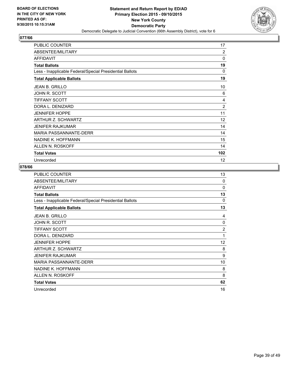

| <b>PUBLIC COUNTER</b>                                    | 17             |
|----------------------------------------------------------|----------------|
| ABSENTEE/MILITARY                                        | $\overline{2}$ |
| <b>AFFIDAVIT</b>                                         | $\mathbf{0}$   |
| <b>Total Ballots</b>                                     | 19             |
| Less - Inapplicable Federal/Special Presidential Ballots | 0              |
| <b>Total Applicable Ballots</b>                          | 19             |
| <b>JEAN B. GRILLO</b>                                    | 10             |
| JOHN R. SCOTT                                            | 6              |
| <b>TIFFANY SCOTT</b>                                     | 4              |
| DORA L. DENIZARD                                         | $\overline{2}$ |
| <b>JENNIFER HOPPE</b>                                    | 11             |
| ARTHUR Z. SCHWARTZ                                       | 12             |
| <b>JENIFER RAJKUMAR</b>                                  | 14             |
| <b>MARIA PASSANNANTE-DERR</b>                            | 14             |
| NADINE K. HOFFMANN                                       | 15             |
| ALLEN N. ROSKOFF                                         | 14             |
| <b>Total Votes</b>                                       | 102            |
| Unrecorded                                               | 12             |

| PUBLIC COUNTER                                           | 13       |
|----------------------------------------------------------|----------|
| ABSENTEE/MILITARY                                        | $\Omega$ |
| <b>AFFIDAVIT</b>                                         | $\Omega$ |
| <b>Total Ballots</b>                                     | 13       |
| Less - Inapplicable Federal/Special Presidential Ballots | 0        |
| <b>Total Applicable Ballots</b>                          | 13       |
| <b>JEAN B. GRILLO</b>                                    | 4        |
| <b>JOHN R. SCOTT</b>                                     | 0        |
| <b>TIFFANY SCOTT</b>                                     | 2        |
| DORA L. DENIZARD                                         | 1        |
| <b>JENNIFER HOPPE</b>                                    | 12       |
| ARTHUR Z. SCHWARTZ                                       | 8        |
| <b>JENIFER RAJKUMAR</b>                                  | 9        |
| <b>MARIA PASSANNANTE-DERR</b>                            | 10       |
| NADINE K. HOFFMANN                                       | 8        |
| ALLEN N. ROSKOFF                                         | 8        |
| <b>Total Votes</b>                                       | 62       |
| Unrecorded                                               | 16       |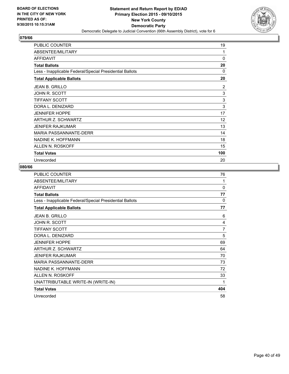

| <b>PUBLIC COUNTER</b>                                    | 19  |
|----------------------------------------------------------|-----|
| ABSENTEE/MILITARY                                        | 1   |
| <b>AFFIDAVIT</b>                                         | 0   |
| <b>Total Ballots</b>                                     | 20  |
| Less - Inapplicable Federal/Special Presidential Ballots | 0   |
| <b>Total Applicable Ballots</b>                          | 20  |
| <b>JEAN B. GRILLO</b>                                    | 2   |
| JOHN R. SCOTT                                            | 3   |
| <b>TIFFANY SCOTT</b>                                     | 3   |
| DORA L. DENIZARD                                         | 3   |
| <b>JENNIFER HOPPE</b>                                    | 17  |
| ARTHUR Z. SCHWARTZ                                       | 12  |
| <b>JENIFER RAJKUMAR</b>                                  | 13  |
| <b>MARIA PASSANNANTE-DERR</b>                            | 14  |
| NADINE K. HOFFMANN                                       | 18  |
| ALLEN N. ROSKOFF                                         | 15  |
| <b>Total Votes</b>                                       | 100 |
| Unrecorded                                               | 20  |

| <b>PUBLIC COUNTER</b>                                    | 76           |
|----------------------------------------------------------|--------------|
| ABSENTEE/MILITARY                                        | 1            |
| <b>AFFIDAVIT</b>                                         | 0            |
| <b>Total Ballots</b>                                     | 77           |
| Less - Inapplicable Federal/Special Presidential Ballots | $\mathbf{0}$ |
| <b>Total Applicable Ballots</b>                          | 77           |
| <b>JEAN B. GRILLO</b>                                    | 6            |
| JOHN R. SCOTT                                            | 4            |
| <b>TIFFANY SCOTT</b>                                     | 7            |
| DORA L. DENIZARD                                         | 5            |
| <b>JENNIFER HOPPE</b>                                    | 69           |
| ARTHUR Z. SCHWARTZ                                       | 64           |
| JENIFER RAJKUMAR                                         | 70           |
| <b>MARIA PASSANNANTE-DERR</b>                            | 73           |
| NADINE K. HOFFMANN                                       | 72           |
| <b>ALLEN N. ROSKOFF</b>                                  | 33           |
| UNATTRIBUTABLE WRITE-IN (WRITE-IN)                       | 1            |
| <b>Total Votes</b>                                       | 404          |
| Unrecorded                                               | 58           |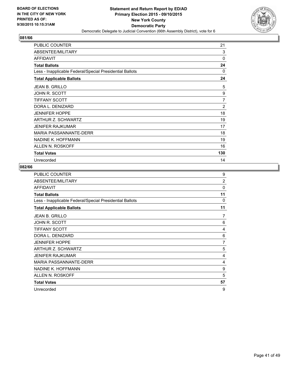

| <b>PUBLIC COUNTER</b>                                    | 21             |
|----------------------------------------------------------|----------------|
| ABSENTEE/MILITARY                                        | 3              |
| <b>AFFIDAVIT</b>                                         | 0              |
| <b>Total Ballots</b>                                     | 24             |
| Less - Inapplicable Federal/Special Presidential Ballots | $\Omega$       |
| <b>Total Applicable Ballots</b>                          | 24             |
| <b>JEAN B. GRILLO</b>                                    | 5              |
| JOHN R. SCOTT                                            | 9              |
| <b>TIFFANY SCOTT</b>                                     | 7              |
| DORA L. DENIZARD                                         | $\overline{2}$ |
| <b>JENNIFER HOPPE</b>                                    | 18             |
| ARTHUR Z. SCHWARTZ                                       | 19             |
| <b>JENIFER RAJKUMAR</b>                                  | 17             |
| <b>MARIA PASSANNANTE-DERR</b>                            | 18             |
| NADINE K. HOFFMANN                                       | 19             |
| ALLEN N. ROSKOFF                                         | 16             |
| <b>Total Votes</b>                                       | 130            |
| Unrecorded                                               | 14             |

| <b>PUBLIC COUNTER</b>                                    | 9              |
|----------------------------------------------------------|----------------|
| ABSENTEE/MILITARY                                        | $\overline{2}$ |
| <b>AFFIDAVIT</b>                                         | $\Omega$       |
| <b>Total Ballots</b>                                     | 11             |
| Less - Inapplicable Federal/Special Presidential Ballots | 0              |
| <b>Total Applicable Ballots</b>                          | 11             |
| <b>JEAN B. GRILLO</b>                                    | 7              |
| <b>JOHN R. SCOTT</b>                                     | 6              |
| <b>TIFFANY SCOTT</b>                                     | 4              |
| DORA L. DENIZARD                                         | 6              |
| <b>JENNIFER HOPPE</b>                                    | $\overline{7}$ |
| ARTHUR Z. SCHWARTZ                                       | 5              |
| <b>JENIFER RAJKUMAR</b>                                  | 4              |
| <b>MARIA PASSANNANTE-DERR</b>                            | 4              |
| NADINE K. HOFFMANN                                       | 9              |
| ALLEN N. ROSKOFF                                         | 5              |
| <b>Total Votes</b>                                       | 57             |
| Unrecorded                                               | 9              |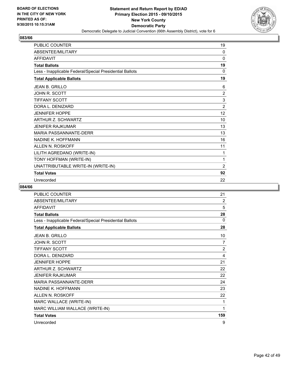

| PUBLIC COUNTER                                           | 19             |
|----------------------------------------------------------|----------------|
| ABSENTEE/MILITARY                                        | $\mathbf{0}$   |
| <b>AFFIDAVIT</b>                                         | $\mathbf{0}$   |
| <b>Total Ballots</b>                                     | 19             |
| Less - Inapplicable Federal/Special Presidential Ballots | 0              |
| <b>Total Applicable Ballots</b>                          | 19             |
| <b>JEAN B. GRILLO</b>                                    | 6              |
| <b>JOHN R. SCOTT</b>                                     | $\overline{2}$ |
| <b>TIFFANY SCOTT</b>                                     | 3              |
| DORA L. DENIZARD                                         | 2              |
| <b>JENNIFER HOPPE</b>                                    | 12             |
| ARTHUR Z. SCHWARTZ                                       | 10             |
| <b>JENIFER RAJKUMAR</b>                                  | 13             |
| <b>MARIA PASSANNANTE-DERR</b>                            | 13             |
| NADINE K. HOFFMANN                                       | 16             |
| ALLEN N. ROSKOFF                                         | 11             |
| LILITH AGREDANO (WRITE-IN)                               | 1              |
| TONY HOFFMAN (WRITE-IN)                                  | 1              |
| UNATTRIBUTABLE WRITE-IN (WRITE-IN)                       | $\overline{2}$ |
| <b>Total Votes</b>                                       | 92             |
| Unrecorded                                               | 22             |

| PUBLIC COUNTER                                           | 21             |
|----------------------------------------------------------|----------------|
| ABSENTEE/MILITARY                                        | $\overline{2}$ |
| <b>AFFIDAVIT</b>                                         | 5              |
| <b>Total Ballots</b>                                     | 28             |
| Less - Inapplicable Federal/Special Presidential Ballots | 0              |
| <b>Total Applicable Ballots</b>                          | 28             |
| JEAN B. GRILLO                                           | 10             |
| JOHN R. SCOTT                                            | 7              |
| <b>TIFFANY SCOTT</b>                                     | $\overline{2}$ |
| DORA L. DENIZARD                                         | 4              |
| <b>JENNIFER HOPPE</b>                                    | 21             |
| <b>ARTHUR Z. SCHWARTZ</b>                                | 22             |
| <b>JENIFER RAJKUMAR</b>                                  | 22             |
| <b>MARIA PASSANNANTE-DERR</b>                            | 24             |
| NADINE K. HOFFMANN                                       | 23             |
| ALLEN N. ROSKOFF                                         | 22             |
| MARC WALLACE (WRITE-IN)                                  | 1              |
| MARC WILLIAM WALLACE (WRITE-IN)                          | 1              |
| <b>Total Votes</b>                                       | 159            |
| Unrecorded                                               | 9              |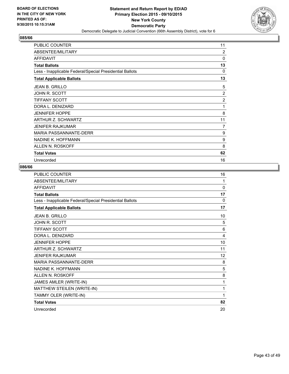

| <b>PUBLIC COUNTER</b>                                    | 11             |
|----------------------------------------------------------|----------------|
| ABSENTEE/MILITARY                                        | 2              |
| <b>AFFIDAVIT</b>                                         | $\Omega$       |
| <b>Total Ballots</b>                                     | 13             |
| Less - Inapplicable Federal/Special Presidential Ballots | 0              |
| <b>Total Applicable Ballots</b>                          | 13             |
| JEAN B. GRILLO                                           | 5              |
| JOHN R. SCOTT                                            | 2              |
| <b>TIFFANY SCOTT</b>                                     | $\overline{2}$ |
| DORA L. DENIZARD                                         | 1              |
| <b>JENNIFER HOPPE</b>                                    | 8              |
| ARTHUR Z. SCHWARTZ                                       | 11             |
| <b>JENIFER RAJKUMAR</b>                                  | 7              |
| <b>MARIA PASSANNANTE-DERR</b>                            | 9              |
| NADINE K. HOFFMANN                                       | 9              |
| ALLEN N. ROSKOFF                                         | 8              |
| <b>Total Votes</b>                                       | 62             |
| Unrecorded                                               | 16             |

| PUBLIC COUNTER                                           | 16           |
|----------------------------------------------------------|--------------|
| ABSENTEE/MILITARY                                        | 1            |
| <b>AFFIDAVIT</b>                                         | $\mathbf{0}$ |
| <b>Total Ballots</b>                                     | 17           |
| Less - Inapplicable Federal/Special Presidential Ballots | 0            |
| <b>Total Applicable Ballots</b>                          | 17           |
| <b>JEAN B. GRILLO</b>                                    | 10           |
| <b>JOHN R. SCOTT</b>                                     | 5            |
| <b>TIFFANY SCOTT</b>                                     | 6            |
| DORA L. DENIZARD                                         | 4            |
| <b>JENNIFER HOPPE</b>                                    | 10           |
| ARTHUR Z. SCHWARTZ                                       | 11           |
| <b>JENIFER RAJKUMAR</b>                                  | 12           |
| <b>MARIA PASSANNANTE-DERR</b>                            | 8            |
| NADINE K. HOFFMANN                                       | 5            |
| ALLEN N. ROSKOFF                                         | 8            |
| JAMES AMLER (WRITE-IN)                                   | 1            |
| MATTHEW STEILEN (WRITE-IN)                               | 1            |
| TAMMY OLER (WRITE-IN)                                    | 1            |
| <b>Total Votes</b>                                       | 82           |
| Unrecorded                                               | 20           |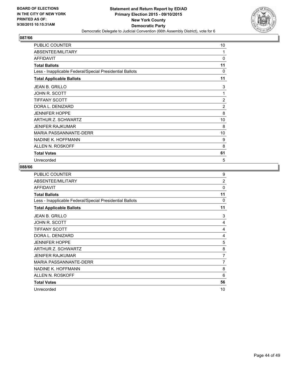

| <b>PUBLIC COUNTER</b>                                    | 10             |
|----------------------------------------------------------|----------------|
| ABSENTEE/MILITARY                                        | 1              |
| <b>AFFIDAVIT</b>                                         | 0              |
| <b>Total Ballots</b>                                     | 11             |
| Less - Inapplicable Federal/Special Presidential Ballots | 0              |
| <b>Total Applicable Ballots</b>                          | 11             |
| JEAN B. GRILLO                                           | 3              |
| JOHN R. SCOTT                                            | 1              |
| <b>TIFFANY SCOTT</b>                                     | $\overline{2}$ |
| DORA L. DENIZARD                                         | $\overline{2}$ |
| <b>JENNIFER HOPPE</b>                                    | 8              |
| ARTHUR Z. SCHWARTZ                                       | 10             |
| <b>JENIFER RAJKUMAR</b>                                  | 8              |
| <b>MARIA PASSANNANTE-DERR</b>                            | 10             |
| NADINE K. HOFFMANN                                       | 9              |
| ALLEN N. ROSKOFF                                         | 8              |
| <b>Total Votes</b>                                       | 61             |
| Unrecorded                                               | 5              |

| <b>PUBLIC COUNTER</b>                                    | 9              |
|----------------------------------------------------------|----------------|
| ABSENTEE/MILITARY                                        | $\overline{2}$ |
| <b>AFFIDAVIT</b>                                         | $\Omega$       |
| <b>Total Ballots</b>                                     | 11             |
| Less - Inapplicable Federal/Special Presidential Ballots | $\Omega$       |
| <b>Total Applicable Ballots</b>                          | 11             |
| JEAN B. GRILLO                                           | 3              |
| <b>JOHN R. SCOTT</b>                                     | 4              |
| <b>TIFFANY SCOTT</b>                                     | 4              |
| DORA L. DENIZARD                                         | 4              |
| <b>JENNIFER HOPPE</b>                                    | 5              |
| ARTHUR Z. SCHWARTZ                                       | 8              |
| <b>JENIFER RAJKUMAR</b>                                  | $\overline{7}$ |
| MARIA PASSANNANTE-DERR                                   | $\overline{7}$ |
| NADINE K. HOFFMANN                                       | 8              |
| ALLEN N. ROSKOFF                                         | 6              |
| <b>Total Votes</b>                                       | 56             |
| Unrecorded                                               | 10             |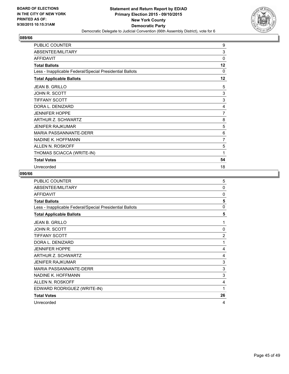

| PUBLIC COUNTER                                           | 9              |
|----------------------------------------------------------|----------------|
| ABSENTEE/MILITARY                                        | 3              |
| <b>AFFIDAVIT</b>                                         | 0              |
| <b>Total Ballots</b>                                     | 12             |
| Less - Inapplicable Federal/Special Presidential Ballots | $\Omega$       |
| <b>Total Applicable Ballots</b>                          | 12             |
| <b>JEAN B. GRILLO</b>                                    | 5              |
| JOHN R. SCOTT                                            | 3              |
| <b>TIFFANY SCOTT</b>                                     | 3              |
| DORA L. DENIZARD                                         | 4              |
| <b>JENNIFER HOPPE</b>                                    | $\overline{7}$ |
| ARTHUR Z. SCHWARTZ                                       | 8              |
| <b>JENIFER RAJKUMAR</b>                                  | 5              |
| MARIA PASSANNANTE-DERR                                   | 6              |
| NADINE K. HOFFMANN                                       | 7              |
| ALLEN N. ROSKOFF                                         | 5              |
| THOMAS SCIACCA (WRITE-IN)                                | 1              |
| <b>Total Votes</b>                                       | 54             |
| Unrecorded                                               | 18             |

| <b>PUBLIC COUNTER</b>                                    | 5              |
|----------------------------------------------------------|----------------|
| ABSENTEE/MILITARY                                        | $\Omega$       |
| <b>AFFIDAVIT</b>                                         | 0              |
| <b>Total Ballots</b>                                     | 5              |
| Less - Inapplicable Federal/Special Presidential Ballots | $\mathbf{0}$   |
| <b>Total Applicable Ballots</b>                          | 5              |
| <b>JEAN B. GRILLO</b>                                    | 1              |
| JOHN R. SCOTT                                            | $\Omega$       |
| <b>TIFFANY SCOTT</b>                                     | $\overline{2}$ |
| DORA L. DENIZARD                                         | 1              |
| <b>JENNIFER HOPPE</b>                                    | 4              |
| ARTHUR Z. SCHWARTZ                                       | 4              |
| <b>JENIFER RAJKUMAR</b>                                  | 3              |
| <b>MARIA PASSANNANTE-DERR</b>                            | 3              |
| NADINE K. HOFFMANN                                       | 3              |
| ALLEN N. ROSKOFF                                         | 4              |
| EDWARD RODRIGUEZ (WRITE-IN)                              | 1              |
| <b>Total Votes</b>                                       | 26             |
| Unrecorded                                               | 4              |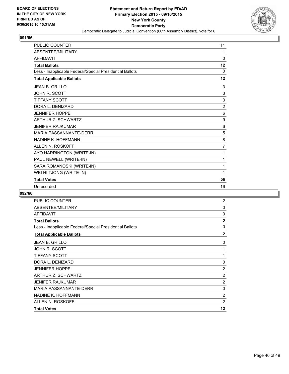

| <b>PUBLIC COUNTER</b>                                    | 11             |
|----------------------------------------------------------|----------------|
| ABSENTEE/MILITARY                                        | 1              |
| <b>AFFIDAVIT</b>                                         | $\Omega$       |
| <b>Total Ballots</b>                                     | 12             |
| Less - Inapplicable Federal/Special Presidential Ballots | 0              |
| <b>Total Applicable Ballots</b>                          | 12             |
| <b>JEAN B. GRILLO</b>                                    | 3              |
| <b>JOHN R. SCOTT</b>                                     | 3              |
| <b>TIFFANY SCOTT</b>                                     | 3              |
| DORA L. DENIZARD                                         | $\overline{2}$ |
| <b>JENNIFER HOPPE</b>                                    | 6              |
| <b>ARTHUR Z. SCHWARTZ</b>                                | 9              |
| JENIFER RAJKUMAR                                         | 6              |
| <b>MARIA PASSANNANTE-DERR</b>                            | 5              |
| NADINE K. HOFFMANN                                       | 8              |
| <b>ALLEN N. ROSKOFF</b>                                  | $\overline{7}$ |
| AYO HARRINGTON (WRITE-IN)                                | 1              |
| PAUL NEWELL (WRITE-IN)                                   | 1              |
| SARA ROMANOSKI (WRITE-IN)                                | 1              |
| WEI HI TJONG (WRITE-IN)                                  | 1              |
| <b>Total Votes</b>                                       | 56             |
| Unrecorded                                               | 16             |

| PUBLIC COUNTER                                           | 2              |
|----------------------------------------------------------|----------------|
| ABSENTEE/MILITARY                                        | 0              |
| <b>AFFIDAVIT</b>                                         | 0              |
| <b>Total Ballots</b>                                     | $\overline{2}$ |
| Less - Inapplicable Federal/Special Presidential Ballots | 0              |
| <b>Total Applicable Ballots</b>                          | $\mathbf{2}$   |
| <b>JEAN B. GRILLO</b>                                    | 0              |
| JOHN R. SCOTT                                            | 1              |
| <b>TIFFANY SCOTT</b>                                     | 1              |
| DORA L. DENIZARD                                         | 0              |
| <b>JENNIFER HOPPE</b>                                    | $\overline{2}$ |
| ARTHUR Z. SCHWARTZ                                       | $\overline{2}$ |
| <b>JENIFER RAJKUMAR</b>                                  | $\overline{2}$ |
| <b>MARIA PASSANNANTE-DERR</b>                            | 0              |
| NADINE K. HOFFMANN                                       | $\overline{2}$ |
| ALLEN N. ROSKOFF                                         | $\overline{2}$ |
| <b>Total Votes</b>                                       | 12             |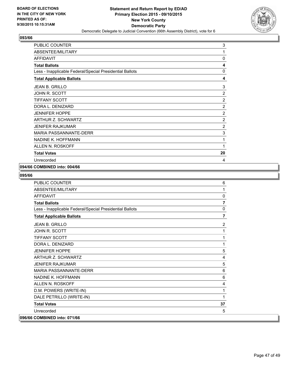

| <b>PUBLIC COUNTER</b>                                    | 3              |
|----------------------------------------------------------|----------------|
| ABSENTEE/MILITARY                                        | 1              |
| <b>AFFIDAVIT</b>                                         | 0              |
| <b>Total Ballots</b>                                     | 4              |
| Less - Inapplicable Federal/Special Presidential Ballots | 0              |
| <b>Total Applicable Ballots</b>                          | 4              |
| <b>JEAN B. GRILLO</b>                                    | 3              |
| JOHN R. SCOTT                                            | $\overline{2}$ |
| <b>TIFFANY SCOTT</b>                                     | $\overline{2}$ |
| DORA L. DENIZARD                                         | 2              |
| <b>JENNIFER HOPPE</b>                                    | 2              |
| ARTHUR Z. SCHWARTZ                                       | $\overline{2}$ |
| <b>JENIFER RAJKUMAR</b>                                  | $\overline{2}$ |
| <b>MARIA PASSANNANTE-DERR</b>                            | 3              |
| NADINE K. HOFFMANN                                       | 1              |
| ALLEN N. ROSKOFF                                         | 1              |
| <b>Total Votes</b>                                       | 20             |
| Unrecorded                                               | 4              |

# **094/66 COMBINED into: 004/66**

| <b>PUBLIC COUNTER</b>                                    | 6              |
|----------------------------------------------------------|----------------|
| ABSENTEE/MILITARY                                        | 1              |
| <b>AFFIDAVIT</b>                                         | 0              |
| <b>Total Ballots</b>                                     | $\overline{7}$ |
| Less - Inapplicable Federal/Special Presidential Ballots | 0              |
| <b>Total Applicable Ballots</b>                          | 7              |
| <b>JEAN B. GRILLO</b>                                    | 2              |
| JOHN R. SCOTT                                            | 1              |
| <b>TIFFANY SCOTT</b>                                     | 1              |
| DORA L. DENIZARD                                         | 1              |
| <b>JENNIFER HOPPE</b>                                    | 5              |
| <b>ARTHUR Z. SCHWARTZ</b>                                | 4              |
| <b>JENIFER RAJKUMAR</b>                                  | 5              |
| <b>MARIA PASSANNANTE-DERR</b>                            | 6              |
| NADINE K. HOFFMANN                                       | 6              |
| ALLEN N. ROSKOFF                                         | 4              |
| D.M. POWERS (WRITE-IN)                                   | 1              |
| DALE PETRILLO (WRITE-IN)                                 | 1              |
| <b>Total Votes</b>                                       | 37             |
| Unrecorded                                               | 5              |
| 096/66 COMBINED into: 071/66                             |                |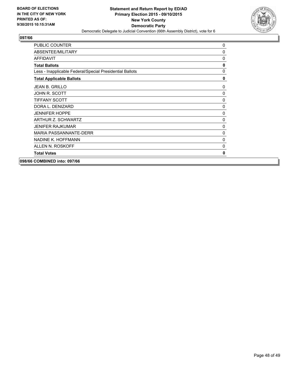

| <b>PUBLIC COUNTER</b>                                    | 0        |
|----------------------------------------------------------|----------|
|                                                          |          |
| ABSENTEE/MILITARY                                        | $\Omega$ |
| <b>AFFIDAVIT</b>                                         | 0        |
| <b>Total Ballots</b>                                     | 0        |
| Less - Inapplicable Federal/Special Presidential Ballots | 0        |
| <b>Total Applicable Ballots</b>                          | 0        |
| <b>JEAN B. GRILLO</b>                                    | 0        |
| JOHN R. SCOTT                                            | 0        |
| <b>TIFFANY SCOTT</b>                                     | 0        |
| DORA L. DENIZARD                                         | $\Omega$ |
| <b>JENNIFER HOPPE</b>                                    | 0        |
| ARTHUR Z. SCHWARTZ                                       | 0        |
| <b>JENIFER RAJKUMAR</b>                                  | 0        |
| MARIA PASSANNANTE-DERR                                   | 0        |
| NADINE K. HOFFMANN                                       | 0        |
| ALLEN N. ROSKOFF                                         | $\Omega$ |
| <b>Total Votes</b>                                       | 0        |
|                                                          |          |

**098/66 COMBINED into: 097/66**